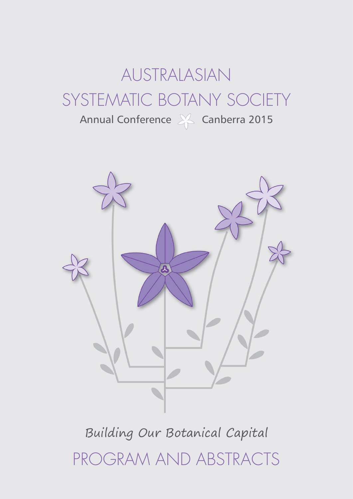# AUSTRALASIAN SYSTEMATIC BOTANY SOCIETY

Annual Conference & Canberra 2015



# Building Our Botanical Capital PROGRAM AND ABSTRACTS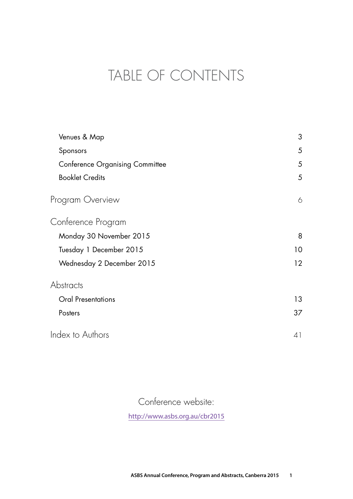## TABLE OF CONTENTS

| Venues & Map                           | 3               |
|----------------------------------------|-----------------|
| Sponsors                               | 5               |
| <b>Conference Organising Committee</b> | 5               |
| <b>Booklet Credits</b>                 | $\overline{5}$  |
| Program Overview                       | 6               |
| Conference Program                     |                 |
| Monday 30 November 2015                | 8               |
| Tuesday 1 December 2015                | 10              |
| Wednesday 2 December 2015              | 12 <sup>2</sup> |
| Abstracts                              |                 |
| <b>Oral Presentations</b>              | 13              |
| Posters                                | 37              |
| Index to Authors                       | 41              |

Conference website:

<http://www.asbs.org.au/cbr2015>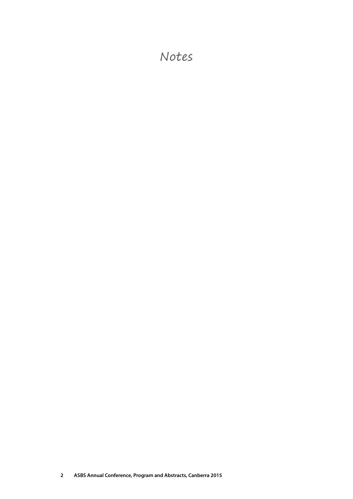### Notes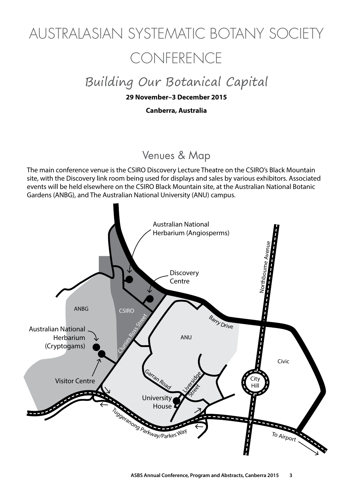# <span id="page-4-0"></span>AUSTRALASIAN SYSTEMATIC BOTANY SOCIETY **CONFERENCE**

## Building Our Botanical Capital

#### **29 November–3 December 2015**

#### **Canberra, Australia**

### Venues & Map

The main conference venue is the CSIRO Discovery Lecture Theatre on the CSIRO's Black Mountain site, with the Discovery link room being used for displays and sales by various exhibitors. Associated events will be held elsewhere on the CSIRO Black Mountain site, at the Australian National Botanic Gardens (ANBG), and The Australian National University (ANU) campus.

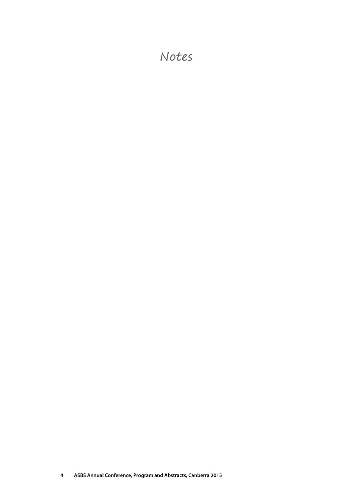### Notes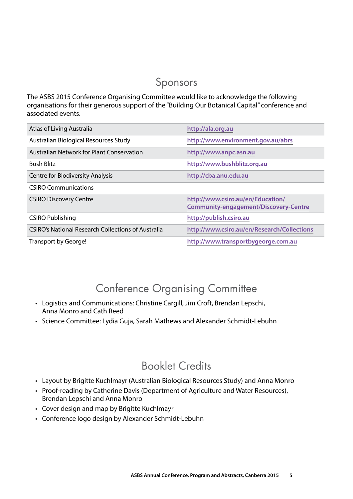### Sponsors

<span id="page-6-0"></span>The ASBS 2015 Conference Organising Committee would like to acknowledge the following organisations for their generous support of the "Building Our Botanical Capital" conference and associated events.

| Atlas of Living Australia                                 | http://ala.org.au                                                                 |
|-----------------------------------------------------------|-----------------------------------------------------------------------------------|
| Australian Biological Resources Study                     | http://www.environment.gov.au/abrs                                                |
| Australian Network for Plant Conservation                 | http://www.anpc.asn.au                                                            |
| <b>Bush Blitz</b>                                         | http://www.bushblitz.org.au                                                       |
| <b>Centre for Biodiversity Analysis</b>                   | http://cba.anu.edu.au                                                             |
| <b>CSIRO Communications</b>                               |                                                                                   |
| <b>CSIRO Discovery Centre</b>                             | http://www.csiro.au/en/Education/<br><b>Community-engagement/Discovery-Centre</b> |
| <b>CSIRO Publishing</b>                                   | http://publish.csiro.au                                                           |
| <b>CSIRO's National Research Collections of Australia</b> | http://www.csiro.au/en/Research/Collections                                       |
| Transport by George!                                      | http://www.transportbygeorge.com.au                                               |

### Conference Organising Committee

- Logistics and Communications: Christine Cargill, Jim Croft, Brendan Lepschi, Anna Monro and Cath Reed
- Science Committee: Lydia Guja, Sarah Mathews and Alexander Schmidt-Lebuhn

### Booklet Credits

- Layout by Brigitte Kuchlmayr (Australian Biological Resources Study) and Anna Monro
- Proof-reading by Catherine Davis (Department of Agriculture and Water Resources), Brendan Lepschi and Anna Monro
- • Cover design and map by Brigitte Kuchlmayr
- Conference logo design by Alexander Schmidt-Lebuhn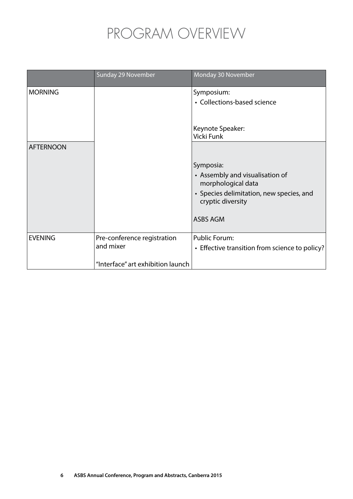## PROGRAM OVERVIEW

<span id="page-7-0"></span>

|                  | Sunday 29 November                | Monday 30 November                                            |
|------------------|-----------------------------------|---------------------------------------------------------------|
| <b>MORNING</b>   |                                   | Symposium:                                                    |
|                  |                                   | • Collections-based science                                   |
|                  |                                   |                                                               |
|                  |                                   | Keynote Speaker:                                              |
|                  |                                   | Vicki Funk                                                    |
| <b>AFTERNOON</b> |                                   |                                                               |
|                  |                                   | Symposia:                                                     |
|                  |                                   | • Assembly and visualisation of<br>morphological data         |
|                  |                                   | • Species delimitation, new species, and<br>cryptic diversity |
|                  |                                   | <b>ASBS AGM</b>                                               |
| <b>EVENING</b>   | Pre-conference registration       | <b>Public Forum:</b>                                          |
|                  | and mixer                         | • Effective transition from science to policy?                |
|                  | "Interface" art exhibition launch |                                                               |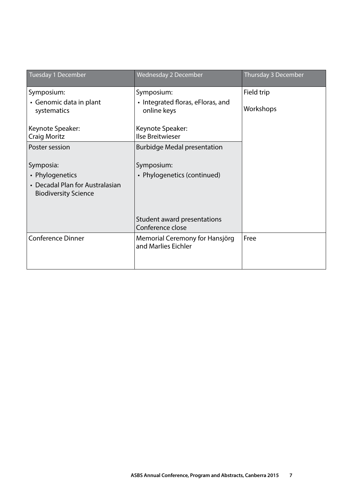| Tuesday 1 December                                             | <b>Wednesday 2 December</b>                           | Thursday 3 December |
|----------------------------------------------------------------|-------------------------------------------------------|---------------------|
| Symposium:                                                     | Symposium:                                            | Field trip          |
| • Genomic data in plant<br>systematics                         | • Integrated floras, eFloras, and<br>online keys      | Workshops           |
| Keynote Speaker:                                               | Keynote Speaker:                                      |                     |
| <b>Craig Moritz</b>                                            | Ilse Breitwieser                                      |                     |
| Poster session                                                 | <b>Burbidge Medal presentation</b>                    |                     |
| Symposia:                                                      | Symposium:                                            |                     |
| • Phylogenetics                                                | • Phylogenetics (continued)                           |                     |
| • Decadal Plan for Australasian<br><b>Biodiversity Science</b> |                                                       |                     |
|                                                                |                                                       |                     |
|                                                                | Student award presentations<br>Conference close       |                     |
| <b>Conference Dinner</b>                                       | Memorial Ceremony for Hansjörg<br>and Marlies Eichler | Free                |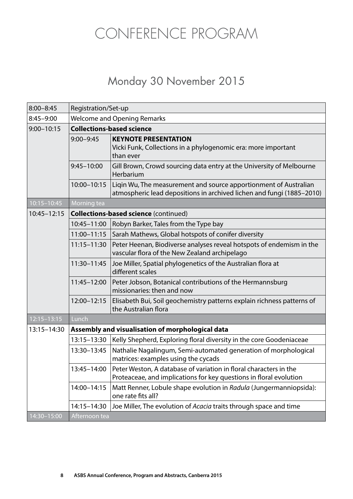## <span id="page-9-0"></span>CONFERENCE PROGRAM

### Monday 30 November 2015

| $8:00 - 8:45$   | Registration/Set-up                              |                                                                                                                                           |  |
|-----------------|--------------------------------------------------|-------------------------------------------------------------------------------------------------------------------------------------------|--|
| $8:45 - 9:00$   | <b>Welcome and Opening Remarks</b>               |                                                                                                                                           |  |
| $9:00 - 10:15$  | <b>Collections-based science</b>                 |                                                                                                                                           |  |
|                 | $9:00 - 9:45$                                    | <b>KEYNOTE PRESENTATION</b><br>Vicki Funk, Collections in a phylogenomic era: more important<br>than ever                                 |  |
|                 | $9:45 - 10:00$                                   | Gill Brown, Crowd sourcing data entry at the University of Melbourne<br>Herbarium                                                         |  |
|                 | 10:00-10:15                                      | Ligin Wu, The measurement and source apportionment of Australian<br>atmospheric lead depositions in archived lichen and fungi (1885-2010) |  |
| $10:15 - 10:45$ | Morning tea                                      |                                                                                                                                           |  |
| $10:45 - 12:15$ |                                                  | <b>Collections-based science (continued)</b>                                                                                              |  |
|                 | 10:45-11:00                                      | Robyn Barker, Tales from the Type bay                                                                                                     |  |
|                 | $11:00 - 11:15$                                  | Sarah Mathews, Global hotspots of conifer diversity                                                                                       |  |
|                 | $11:15 - 11:30$                                  | Peter Heenan, Biodiverse analyses reveal hotspots of endemism in the<br>vascular flora of the New Zealand archipelago                     |  |
|                 | 11:30-11:45                                      | Joe Miller, Spatial phylogenetics of the Australian flora at<br>different scales                                                          |  |
|                 | 11:45-12:00                                      | Peter Jobson, Botanical contributions of the Hermannsburg<br>missionaries: then and now                                                   |  |
|                 | 12:00-12:15                                      | Elisabeth Bui, Soil geochemistry patterns explain richness patterns of<br>the Australian flora                                            |  |
| $12:15 - 13:15$ | Lunch                                            |                                                                                                                                           |  |
| 13:15-14:30     | Assembly and visualisation of morphological data |                                                                                                                                           |  |
|                 | 13:15-13:30                                      | Kelly Shepherd, Exploring floral diversity in the core Goodeniaceae                                                                       |  |
|                 | 13:30-13:45                                      | Nathalie Nagalingum, Semi-automated generation of morphological<br>matrices: examples using the cycads                                    |  |
|                 | 13:45-14:00                                      | Peter Weston, A database of variation in floral characters in the<br>Proteaceae, and implications for key questions in floral evolution   |  |
|                 | 14:00-14:15                                      | Matt Renner, Lobule shape evolution in Radula (Jungermanniopsida):<br>one rate fits all?                                                  |  |
|                 | 14:15-14:30                                      | Joe Miller, The evolution of Acacia traits through space and time                                                                         |  |
| 14:30-15:00     | Afternoon tea                                    |                                                                                                                                           |  |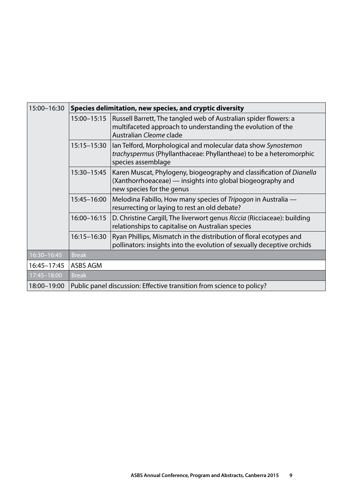| 15:00-16:30 | Species delimitation, new species, and cryptic diversity              |                                                                                                                                                                 |  |
|-------------|-----------------------------------------------------------------------|-----------------------------------------------------------------------------------------------------------------------------------------------------------------|--|
|             | 15:00-15:15                                                           | Russell Barrett, The tangled web of Australian spider flowers: a<br>multifaceted approach to understanding the evolution of the<br>Australian Cleome clade      |  |
|             | 15:15-15:30                                                           | lan Telford, Morphological and molecular data show Synostemon<br>trachyspermus (Phyllanthaceae: Phyllantheae) to be a heteromorphic<br>species assemblage       |  |
|             | 15:30-15:45                                                           | Karen Muscat, Phylogeny, biogeography and classification of Dianella<br>(Xanthorrhoeaceae) — insights into global biogeography and<br>new species for the genus |  |
|             | 15:45-16:00                                                           | Melodina Fabillo, How many species of Tripogon in Australia —<br>resurrecting or laying to rest an old debate?                                                  |  |
|             | 16:00-16:15                                                           | D. Christine Cargill, The liverwort genus Riccia (Ricciaceae): building<br>relationships to capitalise on Australian species                                    |  |
|             | 16:15-16:30                                                           | Ryan Phillips, Mismatch in the distribution of floral ecotypes and<br>pollinators: insights into the evolution of sexually deceptive orchids                    |  |
| 16:30-16:45 | <b>Break</b>                                                          |                                                                                                                                                                 |  |
| 16:45-17:45 | ASBS AGM                                                              |                                                                                                                                                                 |  |
| 17:45-18:00 | <b>Break</b>                                                          |                                                                                                                                                                 |  |
| 18:00-19:00 | Public panel discussion: Effective transition from science to policy? |                                                                                                                                                                 |  |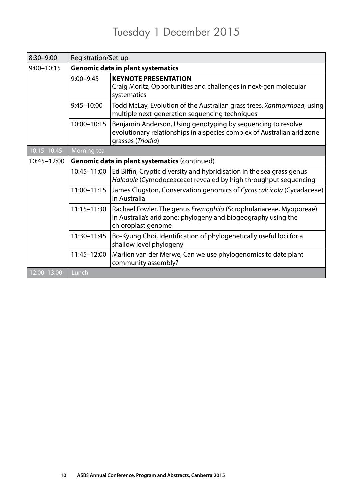### Tuesday 1 December 2015

<span id="page-11-0"></span>

| $8:30 - 9:00$   | Registration/Set-up                           |                                                                                                                                                              |  |
|-----------------|-----------------------------------------------|--------------------------------------------------------------------------------------------------------------------------------------------------------------|--|
| $9:00 - 10:15$  | <b>Genomic data in plant systematics</b>      |                                                                                                                                                              |  |
|                 | $9:00 - 9:45$                                 | <b>KEYNOTE PRESENTATION</b><br>Craig Moritz, Opportunities and challenges in next-gen molecular<br>systematics                                               |  |
|                 | $9:45 - 10:00$                                | Todd McLay, Evolution of the Australian grass trees, Xanthorrhoea, using<br>multiple next-generation sequencing techniques                                   |  |
|                 | 10:00-10:15                                   | Benjamin Anderson, Using genotyping by sequencing to resolve<br>evolutionary relationships in a species complex of Australian arid zone<br>grasses (Triodia) |  |
| $10:15 - 10:45$ | Morning tea                                   |                                                                                                                                                              |  |
| 10:45-12:00     | Genomic data in plant systematics (continued) |                                                                                                                                                              |  |
|                 | 10:45-11:00                                   | Ed Biffin, Cryptic diversity and hybridisation in the sea grass genus<br>Halodule (Cymodoceaceae) revealed by high throughput sequencing                     |  |
|                 | 11:00-11:15                                   | James Clugston, Conservation genomics of Cycas calcicola (Cycadaceae)<br>in Australia                                                                        |  |
|                 | 11:15-11:30                                   | Rachael Fowler, The genus Eremophila (Scrophulariaceae, Myoporeae)<br>in Australia's arid zone: phylogeny and biogeography using the<br>chloroplast genome   |  |
|                 | 11:30-11:45                                   | Bo-Kyung Choi, Identification of phylogenetically useful loci for a<br>shallow level phylogeny                                                               |  |
|                 | 11:45-12:00                                   | Marlien van der Merwe, Can we use phylogenomics to date plant<br>community assembly?                                                                         |  |
| $12:00 - 13:00$ | Lunch                                         |                                                                                                                                                              |  |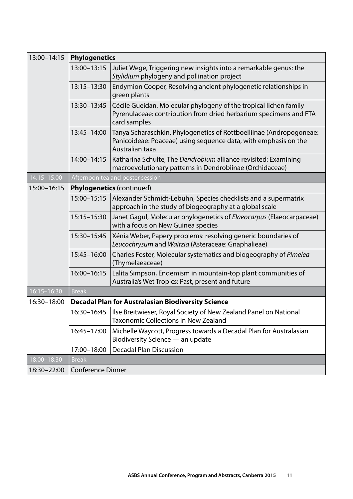| 13:00-14:15     | <b>Phylogenetics</b>             |                                                                                                                                                           |  |
|-----------------|----------------------------------|-----------------------------------------------------------------------------------------------------------------------------------------------------------|--|
|                 | 13:00-13:15                      | Juliet Wege, Triggering new insights into a remarkable genus: the<br>Stylidium phylogeny and pollination project                                          |  |
|                 | 13:15-13:30                      | Endymion Cooper, Resolving ancient phylogenetic relationships in<br>green plants                                                                          |  |
|                 | 13:30-13:45                      | Cécile Gueidan, Molecular phylogeny of the tropical lichen family<br>Pyrenulaceae: contribution from dried herbarium specimens and FTA<br>card samples    |  |
|                 | 13:45-14:00                      | Tanya Scharaschkin, Phylogenetics of Rottboelliinae (Andropogoneae:<br>Panicoideae: Poaceae) using sequence data, with emphasis on the<br>Australian taxa |  |
|                 | 14:00-14:15                      | Katharina Schulte, The Dendrobium alliance revisited: Examining<br>macroevolutionary patterns in Dendrobiinae (Orchidaceae)                               |  |
| $14:15 - 15:00$ | Afternoon tea and poster session |                                                                                                                                                           |  |
| 15:00-16:15     | <b>Phylogenetics (continued)</b> |                                                                                                                                                           |  |
|                 | 15:00-15:15                      | Alexander Schmidt-Lebuhn, Species checklists and a supermatrix<br>approach in the study of biogeography at a global scale                                 |  |
|                 | 15:15-15:30                      | Janet Gagul, Molecular phylogenetics of Elaeocarpus (Elaeocarpaceae)<br>with a focus on New Guinea species                                                |  |
|                 | 15:30-15:45                      | Xénia Weber, Papery problems: resolving generic boundaries of<br>Leucochrysum and Waitzia (Asteraceae: Gnaphalieae)                                       |  |
|                 | 15:45-16:00                      | Charles Foster, Molecular systematics and biogeography of Pimelea<br>(Thymelaeaceae)                                                                      |  |
|                 | 16:00-16:15                      | Lalita Simpson, Endemism in mountain-top plant communities of<br>Australia's Wet Tropics: Past, present and future                                        |  |
| 16:15-16:30     | <b>Break</b>                     |                                                                                                                                                           |  |
| 16:30-18:00     |                                  | <b>Decadal Plan for Australasian Biodiversity Science</b>                                                                                                 |  |
|                 | 16:30-16:45                      | Ilse Breitwieser, Royal Society of New Zealand Panel on National<br>Taxonomic Collections in New Zealand                                                  |  |
|                 | 16:45-17:00                      | Michelle Waycott, Progress towards a Decadal Plan for Australasian<br>Biodiversity Science - an update                                                    |  |
|                 | 17:00-18:00                      | <b>Decadal Plan Discussion</b>                                                                                                                            |  |
| 18:00-18:30     | <b>Break</b>                     |                                                                                                                                                           |  |
| 18:30-22:00     | <b>Conference Dinner</b>         |                                                                                                                                                           |  |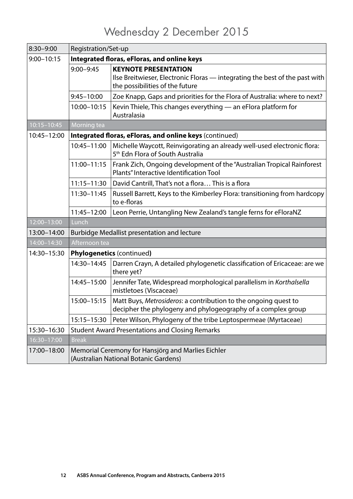### Wednesday 2 December 2015

<span id="page-13-0"></span>

| 8:30-9:00       | Registration/Set-up                                                                         |                                                                                                                                               |  |
|-----------------|---------------------------------------------------------------------------------------------|-----------------------------------------------------------------------------------------------------------------------------------------------|--|
| $9:00 - 10:15$  | Integrated floras, eFloras, and online keys                                                 |                                                                                                                                               |  |
|                 | $9:00 - 9:45$                                                                               | <b>KEYNOTE PRESENTATION</b><br>Ilse Breitwieser, Electronic Floras — integrating the best of the past with<br>the possibilities of the future |  |
|                 | $9:45 - 10:00$                                                                              | Zoe Knapp, Gaps and priorities for the Flora of Australia: where to next?                                                                     |  |
|                 | 10:00-10:15                                                                                 | Kevin Thiele, This changes everything - an eFlora platform for<br>Australasia                                                                 |  |
| $10:15 - 10:45$ | Morning tea                                                                                 |                                                                                                                                               |  |
| 10:45-12:00     |                                                                                             | Integrated floras, eFloras, and online keys (continued)                                                                                       |  |
|                 | 10:45-11:00                                                                                 | Michelle Waycott, Reinvigorating an already well-used electronic flora:<br>5 <sup>th</sup> Edn Flora of South Australia                       |  |
|                 | 11:00-11:15                                                                                 | Frank Zich, Ongoing development of the "Australian Tropical Rainforest<br>Plants" Interactive Identification Tool                             |  |
|                 | $11:15 - 11:30$                                                                             | David Cantrill, That's not a flora This is a flora                                                                                            |  |
|                 | 11:30-11:45                                                                                 | Russell Barrett, Keys to the Kimberley Flora: transitioning from hardcopy<br>to e-floras                                                      |  |
|                 | 11:45-12:00                                                                                 | Leon Perrie, Untangling New Zealand's tangle ferns for eFloraNZ                                                                               |  |
| $12:00 - 13:00$ | Lunch                                                                                       |                                                                                                                                               |  |
| 13:00-14:00     | <b>Burbidge Medallist presentation and lecture</b>                                          |                                                                                                                                               |  |
| 14:00-14:30     | Afternoon tea                                                                               |                                                                                                                                               |  |
| 14:30-15:30     | <b>Phylogenetics (continued)</b>                                                            |                                                                                                                                               |  |
|                 | 14:30-14:45                                                                                 | Darren Crayn, A detailed phylogenetic classification of Ericaceae: are we<br>there yet?                                                       |  |
|                 | 14:45-15:00                                                                                 | Jennifer Tate, Widespread morphological parallelism in Korthalsella<br>mistletoes (Viscaceae)                                                 |  |
|                 | 15:00-15:15                                                                                 | Matt Buys, Metrosideros: a contribution to the ongoing quest to<br>decipher the phylogeny and phylogeography of a complex group               |  |
|                 | 15:15-15:30                                                                                 | Peter Wilson, Phylogeny of the tribe Leptospermeae (Myrtaceae)                                                                                |  |
| 15:30-16:30     | <b>Student Award Presentations and Closing Remarks</b>                                      |                                                                                                                                               |  |
| 16:30-17:00     | <b>Break</b>                                                                                |                                                                                                                                               |  |
| 17:00-18:00     | Memorial Ceremony for Hansjörg and Marlies Eichler<br>(Australian National Botanic Gardens) |                                                                                                                                               |  |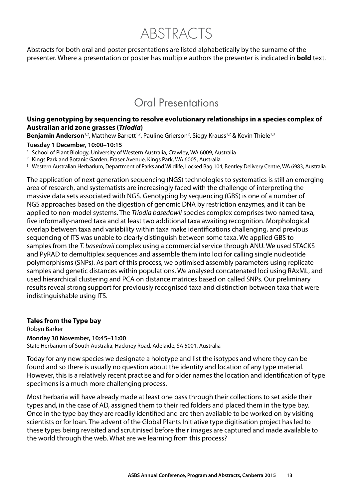ABSTRACTS

<span id="page-14-0"></span>Abstracts for both oral and poster presentations are listed alphabetically by the surname of the presenter. Where a presentation or poster has multiple authors the presenter is indicated in **bold** text.

### Oral Presentations

#### **Using genotyping by sequencing to resolve evolutionary relationships in a species complex of Australian arid zone grasses (***Triodia***)**

**Benjamin Anderson**<sup>1,2</sup>, Matthew Barrett<sup>1,2</sup>, Pauline Grierson<sup>2</sup>, Siegy Krauss<sup>1,2</sup> & Kevin Thiele<sup>1,3</sup>

**Tuesday 1 December, 10:00–10:15** 

<sup>1</sup> School of Plant Biology, University of Western Australia, Crawley, WA 6009, Australia

2 Kings Park and Botanic Garden, Fraser Avenue, Kings Park, WA 6005, Australia

<sup>3</sup> Western Australian Herbarium, Department of Parks and Wildlife, Locked Bag 104, Bentley Delivery Centre, WA 6983, Australia

The application of next generation sequencing (NGS) technologies to systematics is still an emerging area of research, and systematists are increasingly faced with the challenge of interpreting the massive data sets associated with NGS. Genotyping by sequencing (GBS) is one of a number of NGS approaches based on the digestion of genomic DNA by restriction enzymes, and it can be applied to non-model systems. The *Triodia basedowii* species complex comprises two named taxa, five informally-named taxa and at least two additional taxa awaiting recognition. Morphological overlap between taxa and variability within taxa make identifications challenging, and previous sequencing of ITS was unable to clearly distinguish between some taxa. We applied GBS to samples from the *T. basedowii* complex using a commercial service through ANU. We used STACKS and PyRAD to demultiplex sequences and assemble them into loci for calling single nucleotide polymorphisms (SNPs). As part of this process, we optimised assembly parameters using replicate samples and genetic distances within populations. We analysed concatenated loci using RAxML, and used hierarchical clustering and PCA on distance matrices based on called SNPs. Our preliminary results reveal strong support for previously recognised taxa and distinction between taxa that were indistinguishable using ITS.

#### **Tales from the Type bay**

Robyn Barker **Monday 30 November, 10:45–11:00** 

State Herbarium of South Australia, Hackney Road, Adelaide, SA 5001, Australia

Today for any new species we designate a holotype and list the isotypes and where they can be found and so there is usually no question about the identity and location of any type material. However, this is a relatively recent practise and for older names the location and identification of type specimens is a much more challenging process.

Most herbaria will have already made at least one pass through their collections to set aside their types and, in the case of AD, assigned them to their red folders and placed them in the type bay. Once in the type bay they are readily identified and are then available to be worked on by visiting scientists or for loan. The advent of the Global Plants Initiative type digitisation project has led to these types being revisited and scrutinised before their images are captured and made available to the world through the web. What are we learning from this process?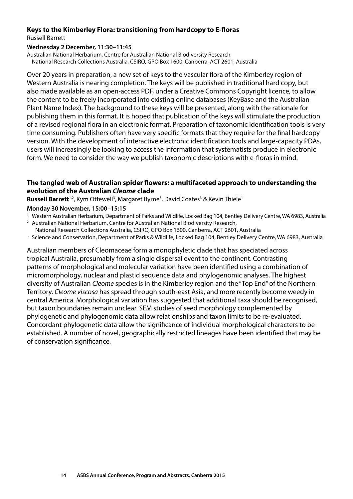#### <span id="page-15-0"></span>**Keys to the Kimberley Flora: transitioning from hardcopy to E-floras**  Russell Barrett

#### **Wednesday 2 December, 11:30–11:45**

Australian National Herbarium, Centre for Australian National Biodiversity Research, National Research Collections Australia, CSIRO, GPO Box 1600, Canberra, ACT 2601, Australia

Over 20 years in preparation, a new set of keys to the vascular flora of the Kimberley region of Western Australia is nearing completion. The keys will be published in traditional hard copy, but also made available as an open-access PDF, under a Creative Commons Copyright licence, to allow the content to be freely incorporated into existing online databases (KeyBase and the Australian Plant Name Index). The background to these keys will be presented, along with the rationale for publishing them in this format. It is hoped that publication of the keys will stimulate the production of a revised regional flora in an electronic format. Preparation of taxonomic identification tools is very time consuming. Publishers often have very specific formats that they require for the final hardcopy version. With the development of interactive electronic identification tools and large-capacity PDAs, users will increasingly be looking to access the information that systematists produce in electronic form. We need to consider the way we publish taxonomic descriptions with e-floras in mind.

#### **The tangled web of Australian spider flowers: a multifaceted approach to understanding the evolution of the Australian** *Cleome* **clade**

Russell Barrett<sup>1,2</sup>, Kym Ottewell<sup>3</sup>, Margaret Byrne<sup>3</sup>, David Coates<sup>3</sup> & Kevin Thiele<sup>1</sup>

**Monday 30 November, 15:00–15:15** 

- <sup>1</sup> Western Australian Herbarium, Department of Parks and Wildlife, Locked Bag 104, Bentley Delivery Centre, WA 6983, Australia<br><sup>2</sup> Australian National Herbarium, Centre for Australian National Biodiversity Research,
- 
- National Research Collections Australia, CSIRO, GPO Box 1600, Canberra, ACT 2601, Australia<br>3 Science and Conservation, Department of Parks & Wildlife, Locked Bag 104, Bentley Delivery Centre, WA 6983, Australia
- 

Australian members of Cleomaceae form a monophyletic clade that has speciated across tropical Australia, presumably from a single dispersal event to the continent. Contrasting patterns of morphological and molecular variation have been identified using a combination of micromorphology, nuclear and plastid sequence data and phylogenomic analyses. The highest diversity of Australian *Cleome* species is in the Kimberley region and the "Top End" of the Northern Territory. *Cleome viscosa* has spread through south-east Asia, and more recently become weedy in central America. Morphological variation has suggested that additional taxa should be recognised, but taxon boundaries remain unclear. SEM studies of seed morphology complemented by phylogenetic and phylogenomic data allow relationships and taxon limits to be re-evaluated. Concordant phylogenetic data allow the significance of individual morphological characters to be established. A number of novel, geographically restricted lineages have been identified that may be of conservation significance.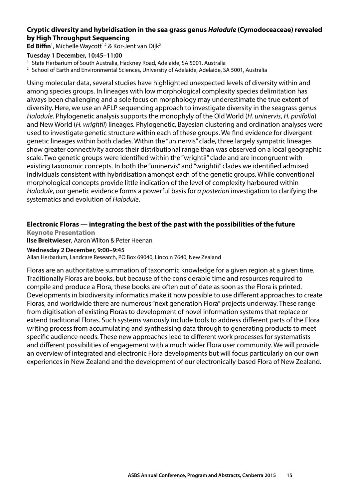#### <span id="page-16-0"></span>**Cryptic diversity and hybridisation in the sea grass genus** *Halodule* **(Cymodoceaceae) revealed by High Throughput Sequencing**

**Ed Biffin**<sup>1</sup>, Michelle Waycott<sup>1,2</sup> & Kor-Jent van Dijk<sup>2</sup>

#### **Tuesday 1 December, 10:45–11:00**

<sup>1</sup> State Herbarium of South Australia, Hackney Road, Adelaide, SA 5001, Australia

<sup>2</sup> School of Earth and Environmental Sciences, University of Adelaide, Adelaide, SA 5001, Australia

Using molecular data, several studies have highlighted unexpected levels of diversity within and among species groups. In lineages with low morphological complexity species delimitation has always been challenging and a sole focus on morphology may underestimate the true extent of diversity. Here, we use an AFLP sequencing approach to investigate diversity in the seagrass genus *Halodule*. Phylogenetic analysis supports the monophyly of the Old World (*H. uninervis*, *H. pinifolia*) and New World (*H. wrightii*) lineages. Phylogenetic, Bayesian clustering and ordination analyses were used to investigate genetic structure within each of these groups. We find evidence for divergent genetic lineages within both clades. Within the "uninervis" clade, three largely sympatric lineages show greater connectivity across their distributional range than was observed on a local geographic scale. Two genetic groups were identified within the "wrightii" clade and are incongruent with existing taxonomic concepts. In both the "uninervis" and "wrightii" clades we identified admixed individuals consistent with hybridisation amongst each of the genetic groups. While conventional morphological concepts provide little indication of the level of complexity harboured within *Halodule*, our genetic evidence forms a powerful basis for *a posteriori* investigation to clarifying the systematics and evolution of *Halodule*.

#### **Electronic Floras — integrating the best of the past with the possibilities of the future**

**Keynote Presentation Ilse Breitwieser**, Aaron Wilton & Peter Heenan

#### **Wednesday 2 December, 9:00–9:45**

Allan Herbarium, Landcare Research, PO Box 69040, Lincoln 7640, New Zealand

Floras are an authoritative summation of taxonomic knowledge for a given region at a given time. Traditionally Floras are books, but because of the considerable time and resources required to compile and produce a Flora, these books are often out of date as soon as the Flora is printed. Developments in biodiversity informatics make it now possible to use different approaches to create Floras, and worldwide there are numerous "next generation Flora" projects underway. These range from digitisation of existing Floras to development of novel information systems that replace or extend traditional Floras. Such systems variously include tools to address different parts of the Flora writing process from accumulating and synthesising data through to generating products to meet specific audience needs. These new approaches lead to different work processes for systematists and different possibilities of engagement with a much wider Flora user community. We will provide an overview of integrated and electronic Flora developments but will focus particularly on our own experiences in New Zealand and the development of our electronically-based Flora of New Zealand.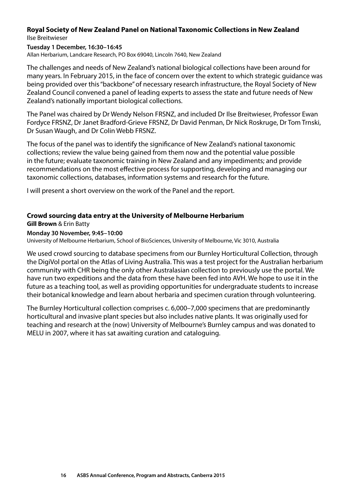#### <span id="page-17-0"></span>**Royal Society of New Zealand Panel on National Taxonomic Collections in New Zealand**  Ilse Breitwieser

#### **Tuesday 1 December, 16:30–16:45**

Allan Herbarium, Landcare Research, PO Box 69040, Lincoln 7640, New Zealand

The challenges and needs of New Zealand's national biological collections have been around for many years. In February 2015, in the face of concern over the extent to which strategic guidance was being provided over this "backbone" of necessary research infrastructure, the Royal Society of New Zealand Council convened a panel of leading experts to assess the state and future needs of New Zealand's nationally important biological collections.

The Panel was chaired by Dr Wendy Nelson FRSNZ, and included Dr Ilse Breitwieser, Professor Ewan Fordyce FRSNZ, Dr Janet Bradford-Grieve FRSNZ, Dr David Penman, Dr Nick Roskruge, Dr Tom Trnski, Dr Susan Waugh, and Dr Colin Webb FRSNZ.

The focus of the panel was to identify the significance of New Zealand's national taxonomic collections; review the value being gained from them now and the potential value possible in the future; evaluate taxonomic training in New Zealand and any impediments; and provide recommendations on the most effective process for supporting, developing and managing our taxonomic collections, databases, information systems and research for the future.

I will present a short overview on the work of the Panel and the report.

#### **Crowd sourcing data entry at the University of Melbourne Herbarium**

**Gill Brown** & Erin Batty

#### **Monday 30 November, 9:45–10:00**

University of Melbourne Herbarium, School of BioSciences, University of Melbourne, Vic 3010, Australia

We used crowd sourcing to database specimens from our Burnley Horticultural Collection, through the DigiVol portal on the Atlas of Living Australia. This was a test project for the Australian herbarium community with CHR being the only other Australasian collection to previously use the portal. We have run two expeditions and the data from these have been fed into AVH. We hope to use it in the future as a teaching tool, as well as providing opportunities for undergraduate students to increase their botanical knowledge and learn about herbaria and specimen curation through volunteering.

The Burnley Horticultural collection comprises c. 6,000–7,000 specimens that are predominantly horticultural and invasive plant species but also includes native plants. It was originally used for teaching and research at the (now) University of Melbourne's Burnley campus and was donated to MELU in 2007, where it has sat awaiting curation and cataloguing.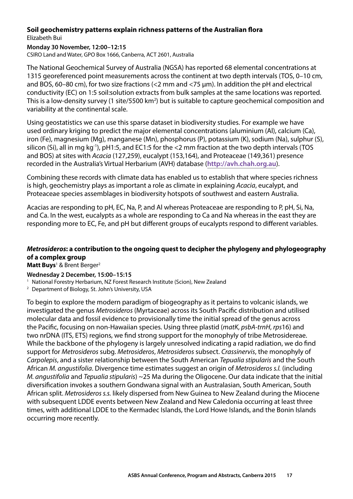#### <span id="page-18-0"></span>**Soil geochemistry patterns explain richness patterns of the Australian flora**  Elizabeth Bui

#### **Monday 30 November, 12:00–12:15**

CSIRO Land and Water, GPO Box 1666, Canberra, ACT 2601, Australia

The National Geochemical Survey of Australia (NGSA) has reported 68 elemental concentrations at 1315 georeferenced point measurements across the continent at two depth intervals (TOS, 0–10 cm, and BOS, 60–80 cm), for two size fractions (<2 mm and <75 μm). In addition the pH and electrical conductivity (EC) on 1:5 soil:solution extracts from bulk samples at the same locations was reported. This is a low-density survey (1 site/5500 km<sup>2</sup>) but is suitable to capture geochemical composition and variability at the continental scale.

Using geostatistics we can use this sparse dataset in biodiversity studies. For example we have used ordinary kriging to predict the major elemental concentrations (aluminium (Al), calcium (Ca), iron (Fe), magnesium (Mg), manganese (Mn), phosphorus (P), potassium (K), sodium (Na), sulphur (S), silicon (Si), all in mg kg<sup>-1</sup>), pH1:5, and EC1:5 for the  $<$ 2 mm fraction at the two depth intervals (TOS and BOS) at sites with *Acacia* (127,259), eucalypt (153,164), and Proteaceae (149,361) presence recorded in the Australia's Virtual Herbarium (AVH) database (**[http://avh.chah.org.au](http://avh.chah.org.au/)**).

Combining these records with climate data has enabled us to establish that where species richness is high, geochemistry plays as important a role as climate in explaining *Acacia*, eucalypt, and Proteaceae species assemblages in biodiversity hotspots of southwest and eastern Australia.

Acacias are responding to pH, EC, Na, P, and Al whereas Proteaceae are responding to P, pH, Si, Na, and Ca. In the west, eucalypts as a whole are responding to Ca and Na whereas in the east they are responding more to EC, Fe, and pH but different groups of eucalypts respond to different variables.

#### *Metrosideros***: a contribution to the ongoing quest to decipher the phylogeny and phylogeography of a complex group**

Matt Buys<sup>1</sup> & Brent Berger<sup>2</sup>

#### **Wednesday 2 December, 15:00–15:15**

<sup>1</sup> National Forestry Herbarium, NZ Forest Research Institute (Scion), New Zealand

2 Department of Biology, St. John's University, USA

To begin to explore the modern paradigm of biogeography as it pertains to volcanic islands, we investigated the genus *Metrosideros* (Myrtaceae) across its South Pacific distribution and utilised molecular data and fossil evidence to provisionally time the initial spread of the genus across the Pacific, focusing on non-Hawaiian species. Using three plastid (*matK*, *psbA‑trnH*, *rps*16) and two nrDNA (ITS, ETS) regions, we find strong support for the monophyly of tribe Metrosidereae. While the backbone of the phylogeny is largely unresolved indicating a rapid radiation, we do find support for *Metrosideros* subg. *Metrosideros*, *Metrosideros* subsect. *Crassinervis*, the monophyly of *Carpolepis*, and a sister relationship between the South American *Tepualia stipularis* and the South African *M. angustifolia*. Divergence time estimates suggest an origin of *Metrosideros s.l.* (including *M. angustifolia* and *Tepualia stipularis*) ~25 Ma during the Oligocene. Our data indicate that the initial diversification invokes a southern Gondwana signal with an Australasian, South American, South African split. *Metrosideros s.s.* likely dispersed from New Guinea to New Zealand during the Miocene with subsequent LDDE events between New Zealand and New Caledonia occurring at least three times, with additional LDDE to the Kermadec Islands, the Lord Howe Islands, and the Bonin Islands occurring more recently.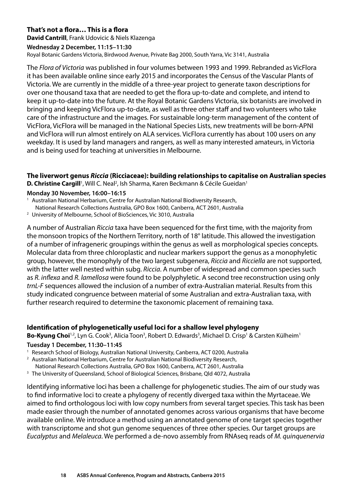#### <span id="page-19-0"></span>**That's not a flora… This is a flora**

**David Cantrill**, Frank Udovicic & Niels Klazenga

#### **Wednesday 2 December, 11:15–11:30**

Royal Botanic Gardens Victoria, Birdwood Avenue, Private Bag 2000, South Yarra, Vic 3141, Australia

The *Flora of Victoria* was published in four volumes between 1993 and 1999. Rebranded as VicFlora it has been available online since early 2015 and incorporates the Census of the Vascular Plants of Victoria. We are currently in the middle of a three-year project to generate taxon descriptions for over one thousand taxa that are needed to get the flora up-to-date and complete, and intend to keep it up-to-date into the future. At the Royal Botanic Gardens Victoria, six botanists are involved in bringing and keeping VicFlora up-to-date, as well as three other staff and two volunteers who take care of the infrastructure and the images. For sustainable long-term management of the content of VicFlora, VicFlora will be managed in the National Species Lists, new treatments will be born-APNI and VicFlora will run almost entirely on ALA services. VicFlora currently has about 100 users on any weekday. It is used by land managers and rangers, as well as many interested amateurs, in Victoria and is being used for teaching at universities in Melbourne.

**The liverwort genus** *Riccia* **(Ricciaceae): building relationships to capitalise on Australian species**  D. Christine Cargill<sup>1</sup>, Will C. Neal<sup>2</sup>, Ish Sharma, Karen Beckmann & Cécile Gueidan<sup>1</sup>

#### **Monday 30 November, 16:00–16:15**

1 Australian National Herbarium, Centre for Australian National Biodiversity Research,

National Research Collections Australia, GPO Box 1600, Canberra, ACT 2601, Australia 2 University of Melbourne, School of BioSciences, Vic 3010, Australia

A number of Australian *Riccia* taxa have been sequenced for the first time, with the majority from the monsoon tropics of the Northern Territory, north of 18° latitude. This allowed the investigation of a number of infrageneric groupings within the genus as well as morphological species concepts. Molecular data from three chloroplastic and nuclear markers support the genus as a monophyletic group, however, the monophyly of the two largest subgenera, *Riccia* and *Ricciella* are not supported, with the latter well nested within subg. *Riccia*. A number of widespread and common species such as *R. inflexa* and *R. lamellosa* were found to be polyphyletic. A second tree reconstruction using only *trnL‑F* sequences allowed the inclusion of a number of extra-Australian material. Results from this study indicated congruence between material of some Australian and extra-Australian taxa, with further research required to determine the taxonomic placement of remaining taxa.

#### **Identification of phylogenetically useful loci for a shallow level phylogeny**

Bo-Kyung Choi<sup>1,2</sup>, Lyn G. Cook<sup>3</sup>, Alicia Toon<sup>3</sup>, Robert D. Edwards<sup>3</sup>, Michael D. Crisp<sup>1</sup> & Carsten Külheim<sup>1</sup>

#### **Tuesday 1 December, 11:30–11:45**

- <sup>1</sup> Research School of Biology, Australian National University, Canberra, ACT 0200, Australia
- 2 Australian National Herbarium, Centre for Australian National Biodiversity Research,
- National Research Collections Australia, GPO Box 1600, Canberra, ACT 2601, Australia 3 The University of Queensland, School of Biological Sciences, Brisbane, Qld 4072, Australia
- 

Identifying informative loci has been a challenge for phylogenetic studies. The aim of our study was to find informative loci to create a phylogeny of recently diverged taxa within the Myrtaceae. We aimed to find orthologous loci with low copy numbers from several target species. This task has been made easier through the number of annotated genomes across various organisms that have become available online. We introduce a method using an annotated genome of one target species together with transcriptome and shot gun genome sequences of three other species. Our target groups are *Eucalyptus* and *Melaleuca*. We performed a de-novo assembly from RNAseq reads of *M. quinquenervia*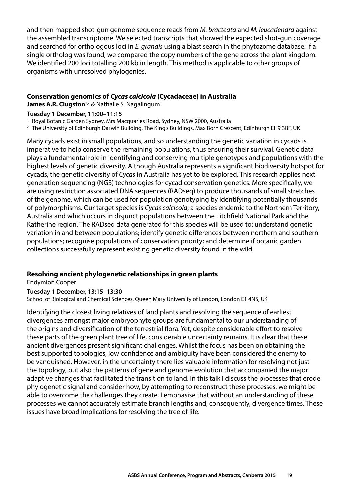<span id="page-20-0"></span>and then mapped shot-gun genome sequence reads from *M. bracteata* and *M. leucadendra* against the assembled transcriptome. We selected transcripts that showed the expected shot-gun coverage and searched for orthologous loci in *E. grandis* using a blast search in the phytozome database. If a single ortholog was found, we compared the copy numbers of the gene across the plant kingdom. We identified 200 loci totalling 200 kb in length. This method is applicable to other groups of organisms with unresolved phylogenies.

#### **Conservation genomics of** *Cycas calcicola* **(Cycadaceae) in Australia**

**James A.R. Clugston**<sup>1,2</sup> & Nathalie S. Nagalingum<sup>1</sup>

#### **Tuesday 1 December, 11:00–11:15**

1 Royal Botanic Garden Sydney, Mrs Macquaries Road, Sydney, NSW 2000, Australia

2 The University of Edinburgh Darwin Building, The King's Buildings, Max Born Crescent, Edinburgh EH9 3BF, UK

Many cycads exist in small populations, and so understanding the genetic variation in cycads is imperative to help conserve the remaining populations, thus ensuring their survival. Genetic data plays a fundamental role in identifying and conserving multiple genotypes and populations with the highest levels of genetic diversity. Although Australia represents a significant biodiversity hotspot for cycads, the genetic diversity of *Cycas* in Australia has yet to be explored. This research applies next generation sequencing (NGS) technologies for cycad conservation genetics. More specifically, we are using restriction associated DNA sequences (RADseq) to produce thousands of small stretches of the genome, which can be used for population genotyping by identifying potentially thousands of polymorphisms. Our target species is *Cycas calcicola*, a species endemic to the Northern Territory, Australia and which occurs in disjunct populations between the Litchfield National Park and the Katherine region. The RADseq data generated for this species will be used to: understand genetic variation in and between populations; identify genetic differences between northern and southern populations; recognise populations of conservation priority; and determine if botanic garden collections successfully represent existing genetic diversity found in the wild.

#### **Resolving ancient phylogenetic relationships in green plants**

Endymion Cooper

#### **Tuesday 1 December, 13:15–13:30**

School of Biological and Chemical Sciences, Queen Mary University of London, London E1 4NS, UK

Identifying the closest living relatives of land plants and resolving the sequence of earliest divergences amongst major embryophyte groups are fundamental to our understanding of the origins and diversification of the terrestrial flora. Yet, despite considerable effort to resolve these parts of the green plant tree of life, considerable uncertainty remains. It is clear that these ancient divergences present significant challenges. Whilst the focus has been on obtaining the best supported topologies, low confidence and ambiguity have been considered the enemy to be vanquished. However, in the uncertainty there lies valuable information for resolving not just the topology, but also the patterns of gene and genome evolution that accompanied the major adaptive changes that facilitated the transition to land. In this talk I discuss the processes that erode phylogenetic signal and consider how, by attempting to reconstruct these processes, we might be able to overcome the challenges they create. I emphasise that without an understanding of these processes we cannot accurately estimate branch lengths and, consequently, divergence times. These issues have broad implications for resolving the tree of life.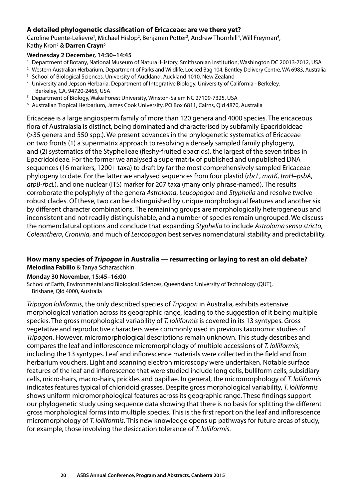#### <span id="page-21-0"></span>**A detailed phylogenetic classification of Ericaceae: are we there yet?**

Caroline Puente-Lelievre<sup>1</sup>, Michael Hislop<sup>2</sup>, Benjamin Potter<sup>3</sup>, Andrew Thornhill<sup>4</sup>, Will Freyman<sup>4</sup>, Kathy Kron5 & **Darren Crayn**<sup>6</sup>

#### **Wednesday 2 December, 14:30–14:45**

- 1 Department of Botany, National Museum of Natural History, Smithsonian Institution, Washington DC 20013-7012, USA
- <sup>2</sup> Western Australian Herbarium, Department of Parks and Wildlife, Locked Bag 104, Bentley Delivery Centre, WA 6983, Australia 3 School of Biological Sciences, University of Auckland, Auckland 1010, New Zealand
- 
- 4 University and Jepson Herbaria, Department of Integrative Biology, University of California Berkeley, Berkeley, CA, 94720-2465, USA<br><sup>5</sup> Department of Biology, Wake Forest University, Winston-Salem NC 27109-7325, USA
- 
- 6 Australian Tropical Herbarium, James Cook University, PO Box 6811, Cairns, Qld 4870, Australia

Ericaceae is a large angiosperm family of more than 120 genera and 4000 species. The ericaceous flora of Australasia is distinct, being dominated and characterised by subfamily Epacridoideae (>35 genera and 550 spp.). We present advances in the phylogenetic systematics of Ericaceae on two fronts (1) a supermatrix approach to resolving a densely sampled family phylogeny, and (2) systematics of the Styphelieae (fleshy-fruited epacrids), the largest of the seven tribes in Epacridoideae. For the former we analysed a supermatrix of published and unpublished DNA sequences (16 markers, 1200+ taxa) to draft by far the most comprehensively sampled Ericaceae phylogeny to date. For the latter we analysed sequences from four plastid (*rbcL*, *matK*, *trnH*–*psbA*, *atpB‑rbcL*), and one nuclear (ITS) marker for 207 taxa (many only phrase-named). The results corroborate the polyphyly of the genera *Astroloma*, *Leucopogon* and *Styphelia* and resolve twelve robust clades. Of these, two can be distinguished by unique morphological features and another six by different character combinations. The remaining groups are morphologically heterogeneous and inconsistent and not readily distinguishable, and a number of species remain ungrouped. We discuss the nomenclatural options and conclude that expanding *Styphelia* to include *Astroloma sensu stricto*, *Coleanthera*, *Croninia*, and much of *Leucopogon* best serves nomenclatural stability and predictability.

#### **How many species of** *Tripogon* **in Australia — resurrecting or laying to rest an old debate? Melodina Fabillo** & Tanya Scharaschkin

#### **Monday 30 November, 15:45–16:00**

School of Earth, Environmental and Biological Sciences, Queensland University of Technology (QUT), Brisbane, Qld 4000, Australia

*Tripogon loliiformis*, the only described species of *Tripogon* in Australia, exhibits extensive morphological variation across its geographic range, leading to the suggestion of it being multiple species. The gross morphological variability of *T. loliiformis* is covered in its 13 syntypes. Gross vegetative and reproductive characters were commonly used in previous taxonomic studies of *Tripogon*. However, micromorphological descriptions remain unknown. This study describes and compares the leaf and inflorescence micromorphology of multiple accessions of *T. loliiformis*, including the 13 syntypes. Leaf and inflorescence materials were collected in the field and from herbarium vouchers. Light and scanning electron microscopy were undertaken. Notable surface features of the leaf and inflorescence that were studied include long cells, bulliform cells, subsidiary cells, micro-hairs, macro-hairs, prickles and papillae. In general, the micromorphology of *T. loliiformis*  indicates features typical of chloridoid grasses. Despite gross morphological variability, *T. loliiformis*  shows uniform micromorphological features across its geographic range. These findings support our phylogenetic study using sequence data showing that there is no basis for splitting the different gross morphological forms into multiple species. This is the first report on the leaf and inflorescence micromorphology of *T. loliiformis*. This new knowledge opens up pathways for future areas of study, for example, those involving the desiccation tolerance of *T. loliiformis*.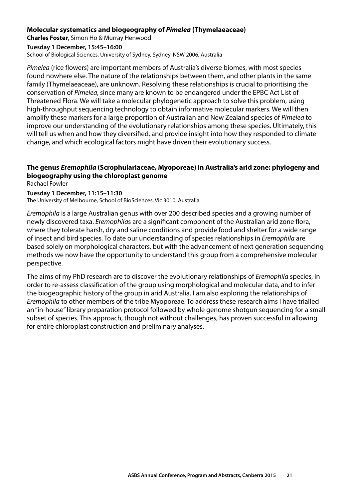#### <span id="page-22-0"></span>**Molecular systematics and biogeography of** *Pimelea* **(Thymelaeaceae)**

**Charles Foster**, Simon Ho & Murray Henwood

#### **Tuesday 1 December, 15:45–16:00**

School of Biological Sciences, University of Sydney, Sydney, NSW 2006, Australia

*Pimelea* (rice flowers) are important members of Australia's diverse biomes, with most species found nowhere else. The nature of the relationships between them, and other plants in the same family (Thymelaeaceae), are unknown. Resolving these relationships is crucial to prioritising the conservation of *Pimelea*, since many are known to be endangered under the EPBC Act List of Threatened Flora. We will take a molecular phylogenetic approach to solve this problem, using high-throughput sequencing technology to obtain informative molecular markers. We will then amplify these markers for a large proportion of Australian and New Zealand species of *Pimelea* to improve our understanding of the evolutionary relationships among these species. Ultimately, this will tell us when and how they diversified, and provide insight into how they responded to climate change, and which ecological factors might have driven their evolutionary success.

### **The genus** *Eremophila* **(Scrophulariaceae, Myoporeae) in Australia's arid zone: phylogeny and biogeography using the chloroplast genome**

Rachael Fowler

#### **Tuesday 1 December, 11:15–11:30**

The University of Melbourne, School of BioSciences, Vic 3010, Australia

*Eremophila* is a large Australian genus with over 200 described species and a growing number of newly discovered taxa. *Eremophila*s are a significant component of the Australian arid zone flora, where they tolerate harsh, dry and saline conditions and provide food and shelter for a wide range of insect and bird species. To date our understanding of species relationships in *Eremophila* are based solely on morphological characters, but with the advancement of next generation sequencing methods we now have the opportunity to understand this group from a comprehensive molecular perspective.

The aims of my PhD research are to discover the evolutionary relationships of *Eremophila* species, in order to re-assess classification of the group using morphological and molecular data, and to infer the biogeographic history of the group in arid Australia. I am also exploring the relationships of *Eremophila* to other members of the tribe Myoporeae. To address these research aims I have trialled an "in-house" library preparation protocol followed by whole genome shotgun sequencing for a small subset of species. This approach, though not without challenges, has proven successful in allowing for entire chloroplast construction and preliminary analyses.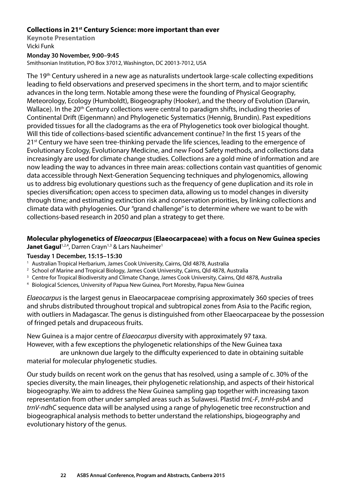#### <span id="page-23-0"></span>**Collections in 21st Century Science: more important than ever**

**Keynote Presentation**  Vicki Funk

#### **Monday 30 November, 9:00–9:45**

Smithsonian Institution, PO Box 37012, Washington, DC 20013-7012, USA

The 19<sup>th</sup> Century ushered in a new age as naturalists undertook large-scale collecting expeditions leading to field observations and preserved specimens in the short term, and to major scientific advances in the long term. Notable among these were the founding of Physical Geography, Meteorology, Ecology (Humboldt), Biogeography (Hooker), and the theory of Evolution (Darwin, Wallace). In the 20<sup>th</sup> Century collections were central to paradigm shifts, including theories of Continental Drift (Eigenmann) and Phylogenetic Systematics (Hennig, Brundin). Past expeditions provided tissues for all the cladograms as the era of Phylogenetics took over biological thought. Will this tide of collections-based scientific advancement continue? In the first 15 years of the 21<sup>st</sup> Century we have seen tree-thinking pervade the life sciences, leading to the emergence of Evolutionary Ecology, Evolutionary Medicine, and new Food Safety methods, and collections data increasingly are used for climate change studies. Collections are a gold mine of information and are now leading the way to advances in three main areas: collections contain vast quantities of genomic data accessible through Next-Generation Sequencing techniques and phylogenomics, allowing us to address big evolutionary questions such as the frequency of gene duplication and its role in species diversification; open access to specimen data, allowing us to model changes in diversity through time; and estimating extinction risk and conservation priorities, by linking collections and climate data with phylogenies. Our "grand challenge" is to determine where we want to be with collections-based research in 2050 and plan a strategy to get there.

#### **Molecular phylogenetics of** *Elaeocarpus* **(Elaeocarpaceae) with a focus on New Guinea species Janet Gagul**<sup>1,2,4</sup>, Darren Crayn<sup>1,3</sup> & Lars Nauheimer<sup>1</sup>

#### **Tuesday 1 December, 15:15–15:30**

- <sup>1</sup> Australian Tropical Herbarium, James Cook University, Cairns, Qld 4878, Australia
- <sup>2</sup> School of Marine and Tropical Biology, James Cook University, Cairns, Qld 4878, Australia
- <sup>3</sup> Centre for Tropical Biodiversity and Climate Change, James Cook University, Cairns, Qld 4878, Australia
- 4 Biological Sciences, University of Papua New Guinea, Port Moresby, Papua New Guinea

*Elaeocarpus* is the largest genus in Elaeocarpaceae comprising approximately 360 species of trees and shrubs distributed throughout tropical and subtropical zones from Asia to the Pacific region, with outliers in Madagascar. The genus is distinguished from other Elaeocarpaceae by the possession of fringed petals and drupaceous fruits.

New Guinea is a major centre of *Elaeocarpus* diversity with approximately 97 taxa. However, with a few exceptions the phylogenetic relationships of the New Guinea taxa

 are unknown due largely to the difficulty experienced to date in obtaining suitable material for molecular phylogenetic studies.

Our study builds on recent work on the genus that has resolved, using a sample of c. 30% of the species diversity, the main lineages, their phylogenetic relationship, and aspects of their historical biogeography. We aim to address the New Guinea sampling gap together with increasing taxon representation from other under sampled areas such as Sulawesi. Plastid *trnL‑F*, *trnH‑psbA* and *trnV‑ndhC* sequence data will be analysed using a range of phylogenetic tree reconstruction and biogeographical analysis methods to better understand the relationships, biogeography and evolutionary history of the genus.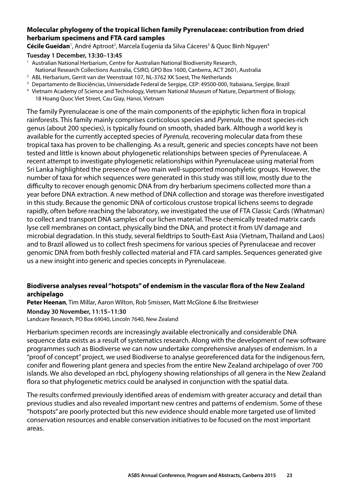#### <span id="page-24-0"></span>**Molecular phylogeny of the tropical lichen family Pyrenulaceae: contribution from dried herbarium specimens and FTA card samples**

**Cécile Gueidan**<sup>1</sup>, André Aptroot<sup>2</sup>, Marcela Eugenia da Silva Cáceres<sup>3</sup> & Quoc Binh Nguyen<sup>4</sup>

#### **Tuesday 1 December, 13:30–13:45**

- <sup>1</sup> Australian National Herbarium, Centre for Australian National Biodiversity Research, National Research Collections Australia, CSIRO, GPO Box 1600, Canberra, ACT 2601, Australia 2 ABL Herbarium, Gerrit van der Veenstraat 107, NL-3762 XK Soest, The Netherlands
- 
- 3 Departamento de Biociências, Universidade Federal de Sergipe, CEP: 49500-000, Itabaiana, Sergipe, Brazil
- 4 Vietnam Academy of Science and Technology, Vietnam National Museum of Nature, Department of Biology, 18 Hoang Quoc Viet Street, Cau Giay, Hanoi, Vietnam

The family Pyrenulaceae is one of the main components of the epiphytic lichen flora in tropical rainforests. This family mainly comprises corticolous species and *Pyrenula*, the most species-rich genus (about 200 species), is typically found on smooth, shaded bark. Although a world key is available for the currently accepted species of *Pyrenula*, recovering molecular data from these tropical taxa has proven to be challenging. As a result, generic and species concepts have not been tested and little is known about phylogenetic relationships between species of Pyrenulaceae. A recent attempt to investigate phylogenetic relationships within Pyrenulaceae using material from Sri Lanka highlighted the presence of two main well-supported monophyletic groups. However, the number of taxa for which sequences were generated in this study was still low, mostly due to the difficulty to recover enough genomic DNA from dry herbarium specimens collected more than a year before DNA extraction. A new method of DNA collection and storage was therefore investigated in this study. Because the genomic DNA of corticolous crustose tropical lichens seems to degrade rapidly, often before reaching the laboratory, we investigated the use of FTA Classic Cards (Whatman) to collect and transport DNA samples of our lichen material. These chemically treated matrix cards lyse cell membranes on contact, physically bind the DNA, and protect it from UV damage and microbial degradation. In this study, several fieldtrips to South-East Asia (Vietnam, Thailand and Laos) and to Brazil allowed us to collect fresh specimens for various species of Pyrenulaceae and recover genomic DNA from both freshly collected material and FTA card samples. Sequences generated give us a new insight into generic and species concepts in Pyrenulaceae.

#### **Biodiverse analyses reveal "hotspots" of endemism in the vascular flora of the New Zealand archipelago**

**Peter Heenan**, Tim Millar, Aaron Wilton, Rob Smissen, Matt McGlone & Ilse Breitwieser

#### **Monday 30 November, 11:15–11:30**

Landcare Research, PO Box 69040, Lincoln 7640, New Zealand

Herbarium specimen records are increasingly available electronically and considerable DNA sequence data exists as a result of systematics research. Along with the development of new software programmes such as Biodiverse we can now undertake comprehensive analyses of endemism. In a "proof of concept" project, we used Biodiverse to analyse georeferenced data for the indigenous fern, conifer and flowering plant genera and species from the entire New Zealand archipelago of over 700 islands. We also developed an rbcL phylogeny showing relationships of all genera in the New Zealand flora so that phylogenetic metrics could be analysed in conjunction with the spatial data.

The results confirmed previously identified areas of endemism with greater accuracy and detail than previous studies and also revealed important new centres and patterns of endemism. Some of these "hotspots" are poorly protected but this new evidence should enable more targeted use of limited conservation resources and enable conservation initiatives to be focused on the most important areas.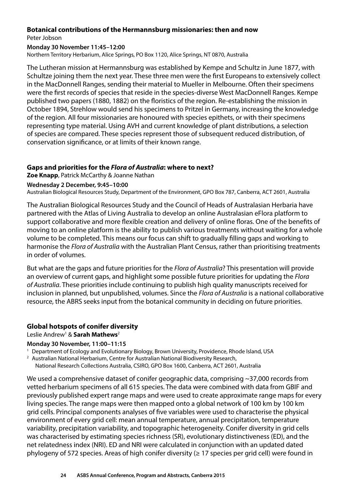#### <span id="page-25-0"></span>**Botanical contributions of the Hermannsburg missionaries: then and now**  Peter Jobson

#### **Monday 30 November 11:45–12:00**

Northern Territory Herbarium, Alice Springs, PO Box 1120, Alice Springs, NT 0870, Australia

The Lutheran mission at Hermannsburg was established by Kempe and Schultz in June 1877, with Schultze joining them the next year. These three men were the first Europeans to extensively collect in the MacDonnell Ranges, sending their material to Mueller in Melbourne. Often their specimens were the first records of species that reside in the species-diverse West MacDonnell Ranges. Kempe published two papers (1880, 1882) on the floristics of the region. Re-establishing the mission in October 1894, Strehlow would send his specimens to Pritzel in Germany, increasing the knowledge of the region. All four missionaries are honoured with species epithets, or with their specimens representing type material. Using AVH and current knowledge of plant distributions, a selection of species are compared. These species represent those of subsequent reduced distribution, of conservation significance, or at limits of their known range.

#### **Gaps and priorities for the** *Flora of Australia***: where to next?**

**Zoe Knapp**, Patrick McCarthy & Joanne Nathan

#### **Wednesday 2 December, 9:45–10:00**

Australian Biological Resources Study, Department of the Environment, GPO Box 787, Canberra, ACT 2601, Australia

The Australian Biological Resources Study and the Council of Heads of Australasian Herbaria have partnered with the Atlas of Living Australia to develop an online Australasian eFlora platform to support collaborative and more flexible creation and delivery of online floras. One of the benefits of moving to an online platform is the ability to publish various treatments without waiting for a whole volume to be completed. This means our focus can shift to gradually filling gaps and working to harmonise the *Flora of Australia* with the Australian Plant Census, rather than prioritising treatments in order of volumes.

But what are the gaps and future priorities for the *Flora of Australia*? This presentation will provide an overview of current gaps, and highlight some possible future priorities for updating the *Flora of Australia*. These priorities include continuing to publish high quality manuscripts received for inclusion in planned, but unpublished, volumes. Since the *Flora of Australia* is a national collaborative resource, the ABRS seeks input from the botanical community in deciding on future priorities.

#### **Global hotspots of conifer diversity**

Leslie Andrew<sup>1</sup> & Sarah Mathews<sup>2</sup>

#### **Monday 30 November, 11:00–11:15**

<sup>1</sup> Department of Ecology and Evolutionary Biology, Brown University, Providence, Rhode Island, USA

- <sup>2</sup> Australian National Herbarium, Centre for Australian National Biodiversity Research,
	- National Research Collections Australia, CSIRO, GPO Box 1600, Canberra, ACT 2601, Australia

We used a comprehensive dataset of conifer geographic data, comprising ~37,000 records from vetted herbarium specimens of all 615 species. The data were combined with data from GBIF and previously published expert range maps and were used to create approximate range maps for every living species. The range maps were then mapped onto a global network of 100 km by 100 km grid cells. Principal components analyses of five variables were used to characterise the physical environment of every grid cell: mean annual temperature, annual precipitation, temperature variability, precipitation variability, and topographic heterogeneity. Conifer diversity in grid cells was characterised by estimating species richness (SR), evolutionary distinctiveness (ED), and the net relatedness index (NRI). ED and NRI were calculated in conjunction with an updated dated phylogeny of 572 species. Areas of high conifer diversity ( $\geq$  17 species per grid cell) were found in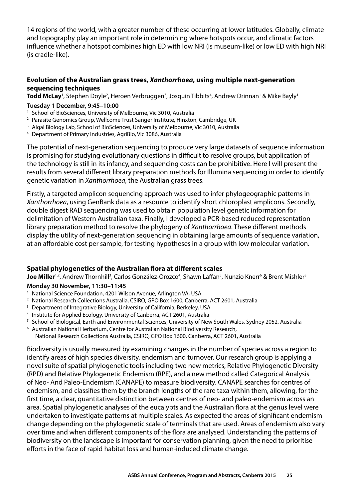<span id="page-26-0"></span>14 regions of the world, with a greater number of these occurring at lower latitudes. Globally, climate and topography play an important role in determining where hotspots occur, and climatic factors influence whether a hotspot combines high ED with low NRI (is museum-like) or low ED with high NRI (is cradle-like).

#### **Evolution of the Australian grass trees,** *Xanthorrhoea***, using multiple next-generation sequencing techniques**

**Todd McLay**<sup>1</sup>, Stephen Doyle<sup>2</sup>, Heroen Verbruggen<sup>3</sup>, Josquin Tibbits<sup>4</sup>, Andrew Drinnan<sup>1</sup> & Mike Bayly<sup>1</sup>

#### **Tuesday 1 December, 9:45–10:00**

- <sup>1</sup> School of BioSciences, University of Melbourne, Vic 3010, Australia
- <sup>2</sup> Parasite Genomics Group, Wellcome Trust Sanger Institute, Hinxton, Cambridge, UK
- <sup>3</sup> Algal Biology Lab, School of BioSciences, University of Melbourne, Vic 3010, Australia
- 4 Department of Primary Industries, AgriBio, Vic 3086, Australia

The potential of next-generation sequencing to produce very large datasets of sequence information is promising for studying evolutionary questions in difficult to resolve groups, but application of the technology is still in its infancy, and sequencing costs can be prohibitive. Here I will present the results from several different library preparation methods for Illumina sequencing in order to identify genetic variation in *Xanthorrhoea*, the Australian grass trees.

Firstly, a targeted amplicon sequencing approach was used to infer phylogeographic patterns in *Xanthorrhoea*, using GenBank data as a resource to identify short chloroplast amplicons. Secondly, double digest RAD sequencing was used to obtain population level genetic information for delimitation of Western Australian taxa. Finally, I developed a PCR-based reduced representation library preparation method to resolve the phylogeny of *Xanthorrhoea*. These different methods display the utility of next-generation sequencing in obtaining large amounts of sequence variation, at an affordable cost per sample, for testing hypotheses in a group with low molecular variation.

#### **Spatial phylogenetics of the Australian flora at different scales**

**Joe Miller**<sup>1,2</sup>, Andrew Thornhill<sup>3</sup>, Carlos González-Orozco<sup>4</sup>, Shawn Laffan<sup>5</sup>, Nunzio Knerr<sup>6</sup> & Brent Mishler<sup>3</sup>

#### **Monday 30 November, 11:30–11:45**

- <sup>1</sup> National Science Foundation, 4201 Wilson Avenue, Arlington VA, USA
- <sup>2</sup> National Research Collections Australia, CSIRO, GPO Box 1600, Canberra, ACT 2601, Australia
- <sup>3</sup> Department of Integrative Biology, University of California, Berkeley, USA
- 4 Institute for Applied Ecology, University of Canberra, ACT 2601, Australia
- 5 School of Biological, Earth and Environmental Sciences, University of New South Wales, Sydney 2052, Australia
- 6 Australian National Herbarium, Centre for Australian National Biodiversity Research,
- National Research Collections Australia, CSIRO, GPO Box 1600, Canberra, ACT 2601, Australia

Biodiversity is usually measured by examining changes in the number of species across a region to identify areas of high species diversity, endemism and turnover. Our research group is applying a novel suite of spatial phylogenetic tools including two new metrics, Relative Phylogenetic Diversity (RPD) and Relative Phylogenetic Endemism (RPE), and a new method called Categorical Analysis of Neo- And Paleo-Endemism (CANAPE) to measure biodiversity. CANAPE searches for centres of endemism, and classifies them by the branch lengths of the rare taxa within them, allowing, for the first time, a clear, quantitative distinction between centres of neo- and paleo-endemism across an area. Spatial phylogenetic analyses of the eucalypts and the Australian flora at the genus level were undertaken to investigate patterns at multiple scales. As expected the areas of significant endemism change depending on the phylogenetic scale of terminals that are used. Areas of endemism also vary over time and when different components of the flora are analysed. Understanding the patterns of biodiversity on the landscape is important for conservation planning, given the need to prioritise efforts in the face of rapid habitat loss and human-induced climate change.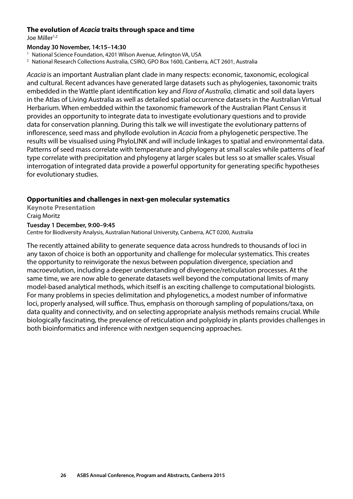#### <span id="page-27-0"></span>**The evolution of** *Acacia* **traits through space and time**

Joe Miller<sup>1,2</sup>

#### **Monday 30 November, 14:15–14:30**

<sup>1</sup> National Science Foundation, 4201 Wilson Avenue, Arlington VA, USA

2 National Research Collections Australia, CSIRO, GPO Box 1600, Canberra, ACT 2601, Australia

*Acacia* is an important Australian plant clade in many respects: economic, taxonomic, ecological and cultural. Recent advances have generated large datasets such as phylogenies, taxonomic traits embedded in the Wattle plant identification key and *Flora of Australia*, climatic and soil data layers in the Atlas of Living Australia as well as detailed spatial occurrence datasets in the Australian Virtual Herbarium. When embedded within the taxonomic framework of the Australian Plant Census it provides an opportunity to integrate data to investigate evolutionary questions and to provide data for conservation planning. During this talk we will investigate the evolutionary patterns of inflorescence, seed mass and phyllode evolution in *Acacia* from a phylogenetic perspective. The results will be visualised using PhyloLINK and will include linkages to spatial and environmental data. Patterns of seed mass correlate with temperature and phylogeny at small scales while patterns of leaf type correlate with precipitation and phylogeny at larger scales but less so at smaller scales. Visual interrogation of integrated data provide a powerful opportunity for generating specific hypotheses for evolutionary studies.

#### **Opportunities and challenges in next-gen molecular systematics**

**Keynote Presentation**  Craig Moritz

#### **Tuesday 1 December, 9:00–9:45**

Centre for Biodiversity Analysis, Australian National University, Canberra, ACT 0200, Australia

The recently attained ability to generate sequence data across hundreds to thousands of loci in any taxon of choice is both an opportunity and challenge for molecular systematics. This creates the opportunity to reinvigorate the nexus between population divergence, speciation and macroevolution, including a deeper understanding of divergence/reticulation processes. At the same time, we are now able to generate datasets well beyond the computational limits of many model-based analytical methods, which itself is an exciting challenge to computational biologists. For many problems in species delimitation and phylogenetics, a modest number of informative loci, properly analysed, will suffice. Thus, emphasis on thorough sampling of populations/taxa, on data quality and connectivity, and on selecting appropriate analysis methods remains crucial. While biologically fascinating, the prevalence of reticulation and polyploidy in plants provides challenges in both bioinformatics and inference with nextgen sequencing approaches.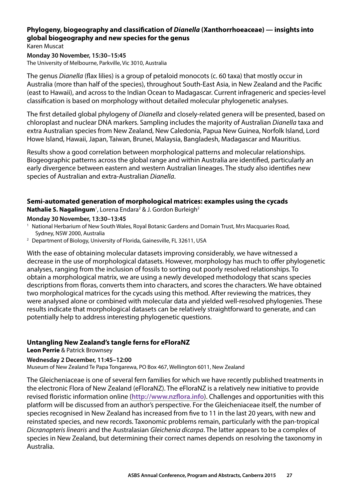#### <span id="page-28-0"></span>**Phylogeny, biogeography and classification of** *Dianella* **(Xanthorrhoeaceae) — insights into global biogeography and new species for the genus**

Karen Muscat

**Monday 30 November, 15:30–15:45**  The University of Melbourne, Parkville, Vic 3010, Australia

The genus *Dianella* (flax lilies) is a group of petaloid monocots (c. 60 taxa) that mostly occur in Australia (more than half of the species), throughout South-East Asia, in New Zealand and the Pacific (east to Hawaii), and across to the Indian Ocean to Madagascar. Current infrageneric and species-level classification is based on morphology without detailed molecular phylogenetic analyses.

The first detailed global phylogeny of *Dianella* and closely-related genera will be presented, based on chloroplast and nuclear DNA markers. Sampling includes the majority of Australian *Dianella* taxa and extra Australian species from New Zealand, New Caledonia, Papua New Guinea, Norfolk Island, Lord Howe Island, Hawaii, Japan, Taiwan, Brunei, Malaysia, Bangladesh, Madagascar and Mauritius.

Results show a good correlation between morphological patterns and molecular relationships. Biogeographic patterns across the global range and within Australia are identified, particularly an early divergence between eastern and western Australian lineages. The study also identifies new species of Australian and extra-Australian *Dianella*.

#### **Semi-automated generation of morphological matrices: examples using the cycads**  Nathalie S. Nagalingum<sup>1</sup>, Lorena Endara<sup>2</sup> & J. Gordon Burleigh<sup>2</sup>

#### **Monday 30 November, 13:30–13:45**

- 1 National Herbarium of New South Wales, Royal Botanic Gardens and Domain Trust, Mrs Macquaries Road, Sydney, NSW 2000, Australia 2 Department of Biology, University of Florida, Gainesville, FL 32611, USA
- 

With the ease of obtaining molecular datasets improving considerably, we have witnessed a decrease in the use of morphological datasets. However, morphology has much to offer phylogenetic analyses, ranging from the inclusion of fossils to sorting out poorly resolved relationships. To obtain a morphological matrix, we are using a newly developed methodology that scans species descriptions from floras, converts them into characters, and scores the characters. We have obtained two morphological matrices for the cycads using this method. After reviewing the matrices, they were analysed alone or combined with molecular data and yielded well-resolved phylogenies. These results indicate that morphological datasets can be relatively straightforward to generate, and can potentially help to address interesting phylogenetic questions.

#### **Untangling New Zealand's tangle ferns for eFloraNZ**

**Leon Perrie** & Patrick Brownsey

#### **Wednesday 2 December, 11:45–12:00**

Museum of New Zealand Te Papa Tongarewa, PO Box 467, Wellington 6011, New Zealand

The Gleicheniaceae is one of several fern families for which we have recently published treatments in the electronic Flora of New Zealand (eFloraNZ). The eFloraNZ is a relatively new initiative to provide revised floristic information online (**http://www.nzflora.info**). Challenges and opportunities with this platform will be discussed from an author's perspective. For the Gleicheniaceae itself, the number of species recognised in New Zealand has increased from five to 11 in the last 20 years, with new and reinstated species, and new records. Taxonomic problems remain, particularly with the pan-tropical *Dicranopteris linearis* and the Australasian *Gleichenia dicarpa*. The latter appears to be a complex of species in New Zealand, but determining their correct names depends on resolving the taxonomy in Australia.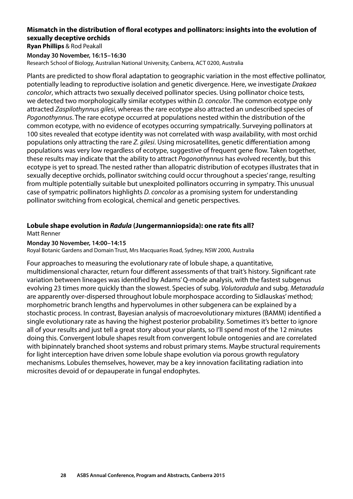#### <span id="page-29-0"></span>**Mismatch in the distribution of floral ecotypes and pollinators: insights into the evolution of sexually deceptive orchids**

**Ryan Phillips** & Rod Peakall

**Monday 30 November, 16:15–16:30**  Research School of Biology, Australian National University, Canberra, ACT 0200, Australia

Plants are predicted to show floral adaptation to geographic variation in the most effective pollinator, potentially leading to reproductive isolation and genetic divergence. Here, we investigate *Drakaea concolor*, which attracts two sexually deceived pollinator species. Using pollinator choice tests, we detected two morphologically similar ecotypes within *D. concolor*. The common ecotype only attracted *Zaspilothynnus gilesi*, whereas the rare ecotype also attracted an undescribed species of *Pogonothynnus*. The rare ecotype occurred at populations nested within the distribution of the common ecotype, with no evidence of ecotypes occurring sympatrically. Surveying pollinators at 100 sites revealed that ecotype identity was not correlated with wasp availability, with most orchid populations only attracting the rare *Z. gilesi*. Using microsatellites, genetic differentiation among populations was very low regardless of ecotype, suggestive of frequent gene flow. Taken together, these results may indicate that the ability to attract *Pogonothynnus* has evolved recently, but this ecotype is yet to spread. The nested rather than allopatric distribution of ecotypes illustrates that in sexually deceptive orchids, pollinator switching could occur throughout a species' range, resulting from multiple potentially suitable but unexploited pollinators occurring in sympatry. This unusual case of sympatric pollinators highlights *D. concolor* as a promising system for understanding pollinator switching from ecological, chemical and genetic perspectives.

#### **Lobule shape evolution in** *Radula* **(Jungermanniopsida): one rate fits all?**

Matt Renner

#### **Monday 30 November, 14:00–14:15**

Royal Botanic Gardens and Domain Trust, Mrs Macquaries Road, Sydney, NSW 2000, Australia

Four approaches to measuring the evolutionary rate of lobule shape, a quantitative, multidimensional character, return four different assessments of that trait's history. Significant rate variation between lineages was identified by Adams' Q-mode analysis, with the fastest subgenus evolving 23 times more quickly than the slowest. Species of subg. *Volutoradula* and subg. *Metaradula*  are apparently over-dispersed throughout lobule morphospace according to Sidlauskas' method; morphometric branch lengths and hypervolumes in other subgenera can be explained by a stochastic process. In contrast, Bayesian analysis of macroevolutionary mixtures (BAMM) identified a single evolutionary rate as having the highest posterior probability. Sometimes it's better to ignore all of your results and just tell a great story about your plants, so I'll spend most of the 12 minutes doing this. Convergent lobule shapes result from convergent lobule ontogenies and are correlated with bipinnately branched shoot systems and robust primary stems. Maybe structural requirements for light interception have driven some lobule shape evolution via porous growth regulatory mechanisms. Lobules themselves, however, may be a key innovation facilitating radiation into microsites devoid of or depauperate in fungal endophytes.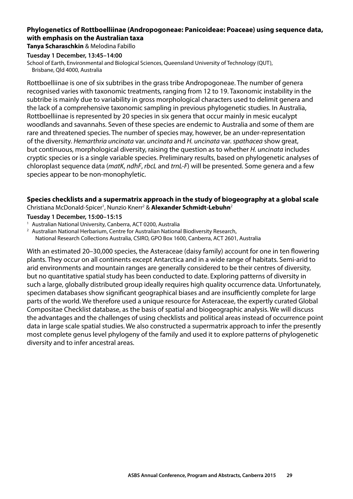#### <span id="page-30-0"></span>**Phylogenetics of Rottboelliinae (Andropogoneae: Panicoideae: Poaceae) using sequence data, with emphasis on the Australian taxa**

**Tanya Scharaschkin** & Melodina Fabillo

#### **Tuesday 1 December, 13:45–14:00**

School of Earth, Environmental and Biological Sciences, Queensland University of Technology (QUT), Brisbane, Qld 4000, Australia

Rottboelliinae is one of six subtribes in the grass tribe Andropogoneae. The number of genera recognised varies with taxonomic treatments, ranging from 12 to 19. Taxonomic instability in the subtribe is mainly due to variability in gross morphological characters used to delimit genera and the lack of a comprehensive taxonomic sampling in previous phylogenetic studies. In Australia, Rottboelliinae is represented by 20 species in six genera that occur mainly in mesic eucalypt woodlands and savannahs. Seven of these species are endemic to Australia and some of them are rare and threatened species. The number of species may, however, be an under-representation of the diversity. *Hemarthria uncinata* var. *uncinata* and *H. uncinata* var. *spathacea* show great, but continuous, morphological diversity, raising the question as to whether *H. uncinata* includes cryptic species or is a single variable species. Preliminary results, based on phylogenetic analyses of chloroplast sequence data (*matK*, *ndhF*, *rbcL* and *trnL‑F*) will be presented. Some genera and a few species appear to be non-monophyletic.

#### **Species checklists and a supermatrix approach in the study of biogeography at a global scale**  Christiana McDonald-Spicer<sup>1</sup>, Nunzio Knerr<sup>2</sup> & **Alexander Schmidt-Lebuhn**<sup>2</sup>

#### **Tuesday 1 December, 15:00–15:15**

<sup>1</sup> Australian National University, Canberra, ACT 0200, Australia

<sup>2</sup> Australian National Herbarium, Centre for Australian National Biodiversity Research,

National Research Collections Australia, CSIRO, GPO Box 1600, Canberra, ACT 2601, Australia

With an estimated 20–30,000 species, the Asteraceae (daisy family) account for one in ten flowering plants. They occur on all continents except Antarctica and in a wide range of habitats. Semi-arid to arid environments and mountain ranges are generally considered to be their centres of diversity, but no quantitative spatial study has been conducted to date. Exploring patterns of diversity in such a large, globally distributed group ideally requires high quality occurrence data. Unfortunately, specimen databases show significant geographical biases and are insufficiently complete for large parts of the world. We therefore used a unique resource for Asteraceae, the expertly curated Global Compositae Checklist database, as the basis of spatial and biogeographic analysis. We will discuss the advantages and the challenges of using checklists and political areas instead of occurrence point data in large scale spatial studies. We also constructed a supermatrix approach to infer the presently most complete genus level phylogeny of the family and used it to explore patterns of phylogenetic diversity and to infer ancestral areas.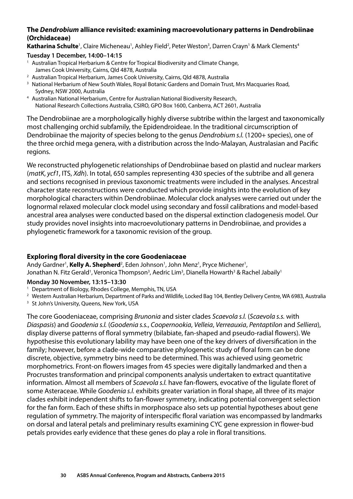#### <span id="page-31-0"></span>**The** *Dendrobium* **alliance revisited: examining macroevolutionary patterns in Dendrobiinae (Orchidaceae)**

Katharina Schulte<sup>1</sup>, Claire Micheneau<sup>1</sup>, Ashley Field<sup>2</sup>, Peter Weston<sup>3</sup>, Darren Crayn<sup>1</sup> & Mark Clements<sup>4</sup>

#### **Tuesday 1 December, 14:00–14:15**

- <sup>1</sup> Australian Tropical Herbarium & Centre for Tropical Biodiversity and Climate Change, James Cook University, Cairns, Qld 4878, Australia 2 Australian Tropical Herbarium, James Cook University, Cairns, Qld 4878, Australia
- 
- <sup>3</sup> National Herbarium of New South Wales, Royal Botanic Gardens and Domain Trust, Mrs Macquaries Road, Sydney, NSW 2000, Australia 4 Australian National Herbarium, Centre for Australian National Biodiversity Research,
- National Research Collections Australia, CSIRO, GPO Box 1600, Canberra, ACT 2601, Australia

The Dendrobiinae are a morphologically highly diverse subtribe within the largest and taxonomically most challenging orchid subfamily, the Epidendroideae. In the traditional circumscription of Dendrobiinae the majority of species belong to the genus *Dendrobium s.l.* (1200+ species), one of the three orchid mega genera, with a distribution across the Indo-Malayan, Australasian and Pacific regions.

We reconstructed phylogenetic relationships of Dendrobiinae based on plastid and nuclear markers (*matK*, *ycf1*, ITS, *Xdh*). In total, 650 samples representing 430 species of the subtribe and all genera and sections recognised in previous taxonomic treatments were included in the analyses. Ancestral character state reconstructions were conducted which provide insights into the evolution of key morphological characters within Dendrobiinae. Molecular clock analyses were carried out under the lognormal relaxed molecular clock model using secondary and fossil calibrations and model-based ancestral area analyses were conducted based on the dispersal extinction cladogenesis model. Our study provides novel insights into macroevolutionary patterns in Dendrobiinae, and provides a phylogenetic framework for a taxonomic revision of the group.

#### **Exploring floral diversity in the core Goodeniaceae**

Andy Gardner<sup>1</sup>, **Kelly A. Shepherd**<sup>2</sup>, Eden Johnson<sup>1</sup>, John Menz<sup>1</sup>, Pryce Michener<sup>1</sup>, Jonathan N. Fitz Gerald<sup>1</sup>, Veronica Thompson<sup>3</sup>, Aedric Lim<sup>3</sup>, Dianella Howarth<sup>3</sup> & Rachel Jabaily<sup>1</sup>

#### **Monday 30 November, 13:15–13:30**

- <sup>1</sup> Department of Biology, Rhodes College, Memphis, TN, USA
- <sup>2</sup> Western Australian Herbarium, Department of Parks and Wildlife, Locked Bag 104, Bentley Delivery Centre, WA 6983, Australia 3 St John's University, Queens, New York, USA
- 

The core Goodeniaceae, comprising *Brunonia* and sister clades *Scaevola s.l.* (*Scaevola s.s.* with *Diaspasis*) and *Goodenia s.l.* (*Goodenia s.s.*, *Coopernookia*, *Velleia*, *Verreauxia*, *Pentaptilon* and *Selliera*), display diverse patterns of floral symmetry (bilabiate, fan-shaped and pseudo-radial flowers). We hypothesise this evolutionary lability may have been one of the key drivers of diversification in the family; however, before a clade-wide comparative phylogenetic study of floral form can be done discrete, objective, symmetry bins need to be determined. This was achieved using geometric morphometrics. Front-on flowers images from 45 species were digitally landmarked and then a Procrustes transformation and principal components analysis undertaken to extract quantitative information. Almost all members of *Scaevola s.l.* have fan-flowers, evocative of the ligulate floret of some Asteraceae. While *Goodenia s.l.* exhibits greater variation in floral shape, all three of its major clades exhibit independent shifts to fan-flower symmetry, indicating potential convergent selection for the fan form. Each of these shifts in morphospace also sets up potential hypotheses about gene regulation of symmetry. The majority of interspecific floral variation was encompassed by landmarks on dorsal and lateral petals and preliminary results examining CYC gene expression in flower-bud petals provides early evidence that these genes do play a role in floral transitions.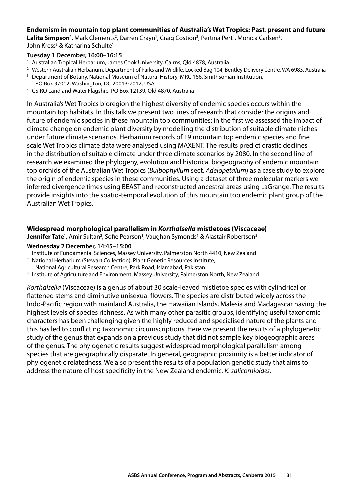#### <span id="page-32-0"></span>**Endemism in mountain top plant communities of Australia's Wet Tropics: Past, present and future**

**Lalita Simpson**<sup>1</sup>, Mark Clements<sup>2</sup>, Darren Crayn<sup>1</sup>, Craig Costion<sup>3</sup>, Pertina Pert<sup>4</sup>, Monica Carlsen<sup>3</sup>, John Kress<sup>3</sup> & Katharina Schulte<sup>1</sup>

#### **Tuesday 1 December, 16:00–16:15**

- 1 Australian Tropical Herbarium, James Cook University, Cairns, Qld 4878, Australia
- <sup>2</sup> Western Australian Herbarium, Department of Parks and Wildlife, Locked Bag 104, Bentley Delivery Centre, WA 6983, Australia 3<br><sup>3</sup> Department of Botany, National Museum of Natural History, MRC 166, Smithsonian Instituti
- 
- PO Box 37012, Washington, DC 20013-7012, USA 4 CSIRO Land and Water Flagship, PO Box 12139, Qld 4870, Australia

In Australia's Wet Tropics bioregion the highest diversity of endemic species occurs within the mountain top habitats. In this talk we present two lines of research that consider the origins and future of endemic species in these mountain top communities: in the first we assessed the impact of climate change on endemic plant diversity by modelling the distribution of suitable climate niches under future climate scenarios. Herbarium records of 19 mountain top endemic species and fine scale Wet Tropics climate data were analysed using MAXENT. The results predict drastic declines in the distribution of suitable climate under three climate scenarios by 2080. In the second line of research we examined the phylogeny, evolution and historical biogeography of endemic mountain top orchids of the Australian Wet Tropics (*Bulbophyllum* sect. *Adelopetalum*) as a case study to explore the origin of endemic species in these communities. Using a dataset of three molecular markers we inferred divergence times using BEAST and reconstructed ancestral areas using LaGrange. The results provide insights into the spatio-temporal evolution of this mountain top endemic plant group of the Australian Wet Tropics.

#### **Widespread morphological parallelism in** *Korthalsella* **mistletoes (Viscaceae)**

**Jennifer Tate**<sup>1</sup>, Amir Sultan<sup>2</sup>, Sofie Pearson<sup>1</sup>, Vaughan Symonds<sup>1</sup> & Alastair Robertson<sup>3</sup>

#### **Wednesday 2 December, 14:45–15:00**

- 1 Institute of Fundamental Sciences, Massey University, Palmerston North 4410, New Zealand
- <sup>2</sup> National Herbarium (Stewart Collection), Plant Genetic Resources Institute,
- 
- National Agricultural Research Centre, Park Road, Islamabad, Pakistan 3 Institute of Agriculture and Environment, Massey University, Palmerston North, New Zealand

*Korthalsella* (Viscaceae) is a genus of about 30 scale-leaved mistletoe species with cylindrical or flattened stems and diminutive unisexual flowers. The species are distributed widely across the Indo-Pacific region with mainland Australia, the Hawaiian Islands, Malesia and Madagascar having the highest levels of species richness. As with many other parasitic groups, identifying useful taxonomic characters has been challenging given the highly reduced and specialised nature of the plants and this has led to conflicting taxonomic circumscriptions. Here we present the results of a phylogenetic study of the genus that expands on a previous study that did not sample key biogeographic areas of the genus. The phylogenetic results suggest widespread morphological parallelism among species that are geographically disparate. In general, geographic proximity is a better indicator of phylogenetic relatedness. We also present the results of a population genetic study that aims to address the nature of host specificity in the New Zealand endemic, *K. salicornioides*.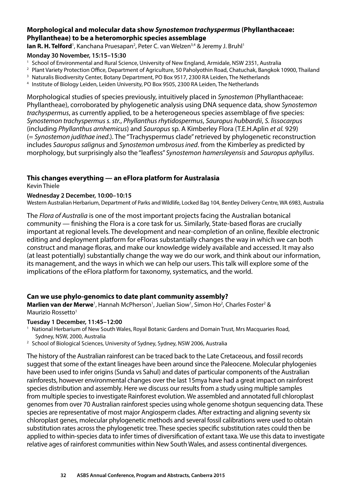#### <span id="page-33-0"></span>**Morphological and molecular data show** *Synostemon trachyspermus* **(Phyllanthaceae: Phyllantheae) to be a heteromorphic species assemblage**

**Ian R. H. Telford**<sup>1</sup>, Kanchana Pruesapan<sup>2</sup>, Peter C. van Welzen<sup>3,4</sup> & Jeremy J. Bruhl<sup>1</sup>

#### **Monday 30 November, 15:15–15:30**

- 1 School of Environmental and Rural Science, University of New England, Armidale, NSW 2351, Australia
- <sup>2</sup> Plant Variety Protection Office, Department of Agriculture, 50 Paholyothin Road, Chatuchak, Bangkok 10900, Thailand
- <sup>3</sup> Naturalis Biodiversity Center, Botany Department, PO Box 9517, 2300 RA Leiden, The Netherlands
- 4 Institute of Biology Leiden, Leiden University, PO Box 9505, 2300 RA Leiden, The Netherlands

Morphological studies of species previously, intuitively placed in *Synostemon* (Phyllanthaceae: Phyllantheae), corroborated by phylogenetic analysis using DNA sequence data, show *Synostemon trachyspermus*, as currently applied, to be a heterogeneous species assemblage of five species: *Synostemon trachyspermus s. str.*, *Phyllanthus rhytidospermus*, *Sauropus hubbardii*, *S. lissocarpus*  (including *Phyllanthus arnhemicus*) and *Sauropus* sp. A Kimberley Flora (T.E.H.Aplin *et al.* 929) (= *Synostemon judithae ined*.). The "Trachyspermus clade" retrieved by phylogenetic reconstruction includes *Sauropus salignus* and *Synostemon umbrosus ined*. from the Kimberley as predicted by morphology, but surprisingly also the "leafless" *Synostemon hamersleyensis* and *Sauropus aphyllus*.

#### **This changes everything — an eFlora platform for Australasia**

#### Kevin Thiele

#### **Wednesday 2 December, 10:00–10:15**

Western Australian Herbarium, Department of Parks and Wildlife, Locked Bag 104, Bentley Delivery Centre, WA 6983, Australia

The *Flora of Australia* is one of the most important projects facing the Australian botanical community — finishing the Flora is a core task for us. Similarly, State-based floras are crucially important at regional levels. The development and near-completion of an online, flexible electronic editing and deployment platform for eFloras substantially changes the way in which we can both construct and manage floras, and make our knowledge widely available and accessed. It may also (at least potentially) substantially change the way we do our work, and think about our information, its management, and the ways in which we can help our users. This talk will explore some of the implications of the eFlora platform for taxonomy, systematics, and the world.

#### **Can we use phylo-genomics to date plant community assembly?**

**Marlien van der Merwe**<sup>1</sup>, Hannah McPherson<sup>1</sup>, Juelian Siow<sup>1</sup>, Simon Ho<sup>2</sup>, Charles Foster<sup>2</sup> & Maurizio Rossetto<sup>1</sup>

#### **Tuesday 1 December, 11:45–12:00**

- <sup>1</sup> National Herbarium of New South Wales, Royal Botanic Gardens and Domain Trust, Mrs Macquaries Road, Sydney, NSW, 2000, Australia 2 School of Biological Sciences, University of Sydney, Sydney, NSW 2006, Australia
- 

The history of the Australian rainforest can be traced back to the Late Cretaceous, and fossil records suggest that some of the extant lineages have been around since the Paleocene. Molecular phylogenies have been used to infer origins (Sunda vs Sahul) and dates of particular components of the Australian rainforests, however environmental changes over the last 15mya have had a great impact on rainforest species distribution and assembly. Here we discuss our results from a study using multiple samples from multiple species to investigate Rainforest evolution. We assembled and annotated full chloroplast genomes from over 70 Australian rainforest species using whole genome shotgun sequencing data. These species are representative of most major Angiosperm clades. After extracting and aligning seventy six chloroplast genes, molecular phylogenetic methods and several fossil calibrations were used to obtain substitution rates across the phylogenetic tree. These species specific substitution rates could then be applied to within-species data to infer times of diversification of extant taxa. We use this data to investigate relative ages of rainforest communities within New South Wales, and assess continental divergences.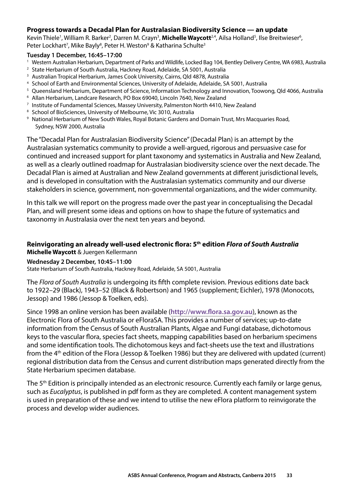#### <span id="page-34-0"></span>**Progress towards a Decadal Plan for Australasian Biodiversity Science — an update**

Kevin Thiele<sup>1</sup>, William R. Barker<sup>2</sup>, Darren M. Crayn<sup>3</sup>, **Michelle Waycott**<sup>2,4</sup>, Ailsa Holland<sup>5</sup>, Ilse Breitwieser<sup>6</sup>, Peter Lockhart<sup>7</sup>, Mike Bayly<sup>8</sup>, Peter H. Weston<sup>9</sup> & Katharina Schulte<sup>3</sup>

#### **Tuesday 1 December, 16:45–17:00**

- <sup>1</sup> Western Australian Herbarium, Department of Parks and Wildlife, Locked Bag 104, Bentley Delivery Centre, WA 6983, Australia <sup>2</sup> State Herbarium of South Australia, Hackney Road, Adelaide, SA 5001, Australia
- 
- <sup>3</sup> Australian Tropical Herbarium, James Cook University, Cairns, Qld 4878, Australia
- 4 School of Earth and Environmental Sciences, University of Adelaide, Adelaide, SA 5001, Australia
- 5 Queensland Herbarium, Department of Science, Information Technology and Innovation, Toowong, Qld 4066, Australia
- 6 Allan Herbarium, Landcare Research, PO Box 69040, Lincoln 7640, New Zealand
- 7 Institute of Fundamental Sciences, Massey University, Palmerston North 4410, New Zealand
- <sup>8</sup> School of BioSciences, University of Melbourne, Vic 3010, Australia
- 9 National Herbarium of New South Wales, Royal Botanic Gardens and Domain Trust, Mrs Macquaries Road, Sydney, NSW 2000, Australia

The "Decadal Plan for Australasian Biodiversity Science" (Decadal Plan) is an attempt by the Australasian systematics community to provide a well-argued, rigorous and persuasive case for continued and increased support for plant taxonomy and systematics in Australia and New Zealand, as well as a clearly outlined roadmap for Australasian biodiversity science over the next decade. The Decadal Plan is aimed at Australian and New Zealand governments at different jurisdictional levels, and is developed in consultation with the Australasian systematics community and our diverse stakeholders in science, government, non-governmental organizations, and the wider community.

In this talk we will report on the progress made over the past year in conceptualising the Decadal Plan, and will present some ideas and options on how to shape the future of systematics and taxonomy in Australasia over the next ten years and beyond.

#### **Reinvigorating an already well-used electronic flora: 5th edition** *Flora of South Australia*  **Michelle Waycott** & Juergen Kellermann

**Wednesday 2 December, 10:45–11:00** 

State Herbarium of South Australia, Hackney Road, Adelaide, SA 5001, Australia

The *Flora of South Australia* is undergoing its fifth complete revision. Previous editions date back to 1922–29 (Black), 1943–52 (Black & Robertson) and 1965 (supplement; Eichler), 1978 (Monocots, Jessop) and 1986 (Jessop & Toelken, eds).

Since 1998 an online version has been available (**<http://www.flora.sa.gov.au>**), known as the Electronic Flora of South Australia or eFloraSA. This provides a number of services; up-to-date information from the Census of South Australian Plants, Algae and Fungi database, dichotomous keys to the vascular flora, species fact sheets, mapping capabilities based on herbarium specimens and some identification tools. The dichotomous keys and fact-sheets use the text and illustrations from the 4th edition of the Flora (Jessop & Toelken 1986) but they are delivered with updated (current) regional distribution data from the Census and current distribution maps generated directly from the State Herbarium specimen database.

The 5<sup>th</sup> Edition is principally intended as an electronic resource. Currently each family or large genus, such as *Eucalyptus*, is published in pdf form as they are completed. A content management system is used in preparation of these and we intend to utilise the new eFlora platform to reinvigorate the process and develop wider audiences.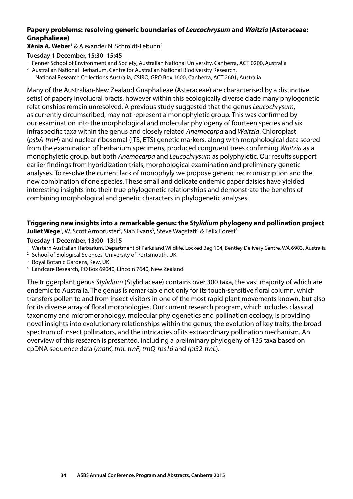#### <span id="page-35-0"></span>**Papery problems: resolving generic boundaries of** *Leucochrysum* **and** *Waitzia* **(Asteraceae: Gnaphalieae)**

**Xénia A. Weber**<sup>1</sup> & Alexander N. Schmidt-Lebuhn2

#### **Tuesday 1 December, 15:30–15:45**

- 1 Fenner School of Environment and Society, Australian National University, Canberra, ACT 0200, Australia
- 2 Australian National Herbarium, Centre for Australian National Biodiversity Research,
	- National Research Collections Australia, CSIRO, GPO Box 1600, Canberra, ACT 2601, Australia

Many of the Australian-New Zealand Gnaphalieae (Asteraceae) are characterised by a distinctive set(s) of papery involucral bracts, however within this ecologically diverse clade many phylogenetic relationships remain unresolved. A previous study suggested that the genus *Leucochrysum*, as currently circumscribed, may not represent a monophyletic group. This was confirmed by our examination into the morphological and molecular phylogeny of fourteen species and six infraspecific taxa within the genus and closely related *Anemocarpa* and *Waitzia*. Chloroplast (*psbA‑trnH*) and nuclear ribosomal (ITS, ETS) genetic markers, along with morphological data scored from the examination of herbarium specimens, produced congruent trees confirming *Waitzia* as a monophyletic group, but both *Anemocarpa* and *Leucochrysum* as polyphyletic. Our results support earlier findings from hybridization trials, morphological examination and preliminary genetic analyses. To resolve the current lack of monophyly we propose generic recircumscription and the new combination of one species. These small and delicate endemic paper daisies have yielded interesting insights into their true phylogenetic relationships and demonstrate the benefits of combining morphological and genetic characters in phylogenetic analyses.

#### **Triggering new insights into a remarkable genus: the** *Stylidium* **phylogeny and pollination project**

**Juliet Wege**<sup>1</sup>, W. Scott Armbruster<sup>2</sup>, Sian Evans<sup>3</sup>, Steve Wagstaff<sup>4</sup> & Felix Forest<sup>3</sup>

#### **Tuesday 1 December, 13:00–13:15**

- <sup>1</sup> Western Australian Herbarium, Department of Parks and Wildlife, Locked Bag 104, Bentley Delivery Centre, WA 6983, Australia <sup>2</sup> School of Biological Sciences, University of Portsmouth, UK
- 
- <sup>3</sup> Royal Botanic Gardens, Kew, UK
- 4 Landcare Research, PO Box 69040, Lincoln 7640, New Zealand

The triggerplant genus *Stylidium* (Stylidiaceae) contains over 300 taxa, the vast majority of which are endemic to Australia. The genus is remarkable not only for its touch-sensitive floral column, which transfers pollen to and from insect visitors in one of the most rapid plant movements known, but also for its diverse array of floral morphologies. Our current research program, which includes classical taxonomy and micromorphology, molecular phylogenetics and pollination ecology, is providing novel insights into evolutionary relationships within the genus, the evolution of key traits, the broad spectrum of insect pollinators, and the intricacies of its extraordinary pollination mechanism. An overview of this research is presented, including a preliminary phylogeny of 135 taxa based on cpDNA sequence data (*matK*, *trnL‑trnF*, *trnQ‑rps16* and *rpl32‑trnL*).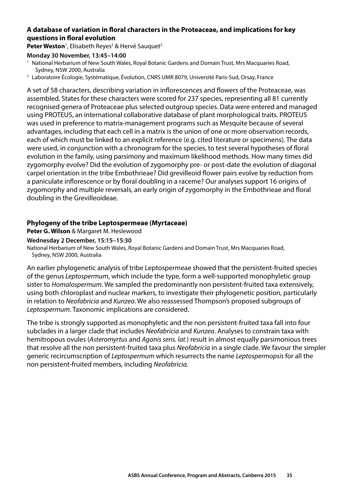#### <span id="page-36-0"></span>**A database of variation in floral characters in the Proteaceae, and implications for key questions in floral evolution**

Peter Weston<sup>1</sup>, Elisabeth Reyes<sup>2</sup> & Hervé Sauquet<sup>2</sup>

#### **Monday 30 November, 13:45–14:00**

- <sup>1</sup> National Herbarium of New South Wales, Royal Botanic Gardens and Domain Trust, Mrs Macquaries Road, Sydney, NSW 2000, Australia 2 Laboratoire Écologie, Systématique, Évolution, CNRS UMR 8079, Université Paris-Sud, Orsay, France
- 

A set of 58 characters, describing variation in inflorescences and flowers of the Proteaceae, was assembled. States for these characters were scored for 237 species, representing all 81 currently recognised genera of Proteaceae plus selected outgroup species. Data were entered and managed using PROTEUS, an international collaborative database of plant morphological traits. PROTEUS was used in preference to matrix-management programs such as Mesquite because of several advantages, including that each cell in a matrix is the union of one or more observation records, each of which must be linked to an explicit reference (e.g. cited literature or specimens). The data were used, in conjunction with a chronogram for the species, to test several hypotheses of floral evolution in the family, using parsimony and maximum likelihood methods. How many times did zygomorphy evolve? Did the evolution of zygomorphy pre- or post-date the evolution of diagonal carpel orientation in the tribe Embothrieae? Did grevilleoid flower pairs evolve by reduction from a paniculate inflorescence or by floral doubling in a raceme? Our analyses support 16 origins of zygomorphy and multiple reversals, an early origin of zygomorphy in the Embothrieae and floral doubling in the Grevilleoideae.

#### **Phylogeny of the tribe Leptospermeae (Myrtaceae)**

**Peter G. Wilson** & Margaret M. Heslewood

#### **Wednesday 2 December, 15:15–15:30**

National Herbarium of New South Wales, Royal Botanic Gardens and Domain Trust, Mrs Macquaries Road, Sydney, NSW 2000, Australia

An earlier phylogenetic analysis of tribe Leptospermeae showed that the persistent-fruited species of the genus *Leptospermum*, which include the type, form a well-supported monophyletic group sister to *Homalospermum*. We sampled the predominantly non persistent-fruited taxa extensively, using both chloroplast and nuclear markers, to investigate their phylogenetic position, particularly in relation to *Neofabricia* and *Kunzea*. We also reassessed Thompson's proposed subgroups of *Leptospermum*. Taxonomic implications are considered.

The tribe is strongly supported as monophyletic and the non persistent-fruited taxa fall into four subclades in a larger clade that includes *Neofabricia* and *Kunzea*. Analyses to constrain taxa with hemitropous ovules (*Asteromyrtus* and *Agonis sens. lat.*) result in almost equally parsimonious trees that resolve all the non persistent-fruited taxa plus *Neofabricia* in a single clade. We favour the simpler generic recircumscription of *Leptospermum* which resurrects the name *Leptospermopsis* for all the non persistent-fruited members, including *Neofabricia*.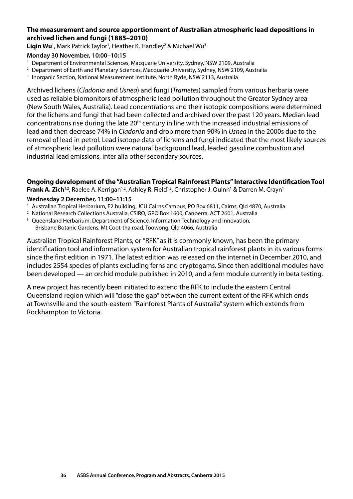#### <span id="page-37-0"></span>**The measurement and source apportionment of Australian atmospheric lead depositions in archived lichen and fungi (1885–2010)**

Liqin Wu<sup>1</sup>, Mark Patrick Taylor<sup>1</sup>, Heather K. Handley<sup>2</sup> & Michael Wu<sup>3</sup>

#### **Monday 30 November, 10:00–10:15**

- 1 Department of Environmental Sciences, Macquarie University, Sydney, NSW 2109, Australia
- <sup>2</sup> Department of Earth and Planetary Sciences, Macquarie University, Sydney, NSW 2109, Australia
- <sup>3</sup> Inorganic Section, National Measurement Institute, North Ryde, NSW 2113, Australia

Archived lichens (*Cladonia* and *Usnea*) and fungi (*Trametes*) sampled from various herbaria were used as reliable biomonitors of atmospheric lead pollution throughout the Greater Sydney area (New South Wales, Australia). Lead concentrations and their isotopic compositions were determined for the lichens and fungi that had been collected and archived over the past 120 years. Median lead concentrations rise during the late 20<sup>th</sup> century in line with the increased industrial emissions of lead and then decrease 74% in *Cladonia* and drop more than 90% in *Usnea* in the 2000s due to the removal of lead in petrol. Lead isotope data of lichens and fungi indicated that the most likely sources of atmospheric lead pollution were natural background lead, leaded gasoline combustion and industrial lead emissions, inter alia other secondary sources.

#### **Ongoing development of the "Australian Tropical Rainforest Plants" Interactive Identification Tool**

**Frank A. Zich**<sup>1,2</sup>, Raelee A. Kerrigan<sup>1,2</sup>, Ashley R. Field<sup>1,3</sup>, Christopher J. Quinn<sup>1</sup> & Darren M. Crayn<sup>1</sup>

#### **Wednesday 2 December, 11:00–11:15**

- 1 Australian Tropical Herbarium, E2 building, JCU Cairns Campus, PO Box 6811, Cairns, Qld 4870, Australia
- 2 National Research Collections Australia, CSIRO, GPO Box 1600, Canberra, ACT 2601, Australia
- <sup>3</sup> Queensland Herbarium, Department of Science, Information Technology and Innovation, Brisbane Botanic Gardens, Mt Coot-tha road, Toowong, Qld 4066, Australia

Australian Tropical Rainforest Plants, or "RFK" as it is commonly known, has been the primary identification tool and information system for Australian tropical rainforest plants in its various forms since the first edition in 1971. The latest edition was released on the internet in December 2010, and includes 2554 species of plants excluding ferns and cryptogams. Since then additional modules have been developed — an orchid module published in 2010, and a fern module currently in beta testing.

A new project has recently been initiated to extend the RFK to include the eastern Central Queensland region which will "close the gap" between the current extent of the RFK which ends at Townsville and the south-eastern "Rainforest Plants of Australia" system which extends from Rockhampton to Victoria.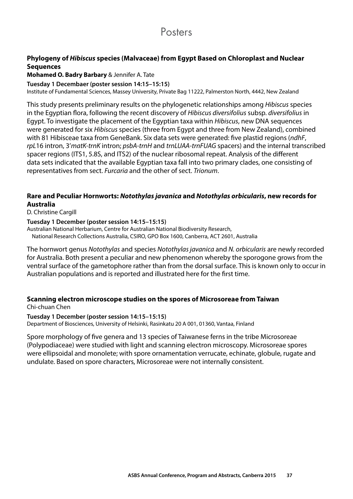### **Posters**

#### <span id="page-38-0"></span>**Phylogeny of** *Hibiscus* **species (Malvaceae) from Egypt Based on Chloroplast and Nuclear Sequences**

#### **Mohamed O. Badry Barbary** & Jennifer A. Tate

#### **Tuesday 1 Decembaer (poster session 14:15–15:15)**

Institute of Fundamental Sciences, Massey University, Private Bag 11222, Palmerston North, 4442, New Zealand

This study presents preliminary results on the phylogenetic relationships among *Hibiscus* species in the Egyptian flora, following the recent discovery of *Hibiscus diversifolius* subsp. *diversifolius* in Egypt. To investigate the placement of the Egyptian taxa within *Hibiscus*, new DNA sequences were generated for six *Hibiscus* species (three from Egypt and three from New Zealand), combined with 81 Hibisceae taxa from GeneBank. Six data sets were generated: five plastid regions (*ndhF*, *rpL*16 intron, 3'*matK‑trnK* intron; *psbA‑trnH* and *trnLUAA‑trnFUAG* spacers) and the internal transcribed spacer regions (ITS1, 5.8S, and ITS2) of the nuclear ribosomal repeat. Analysis of the different data sets indicated that the available Egyptian taxa fall into two primary clades, one consisting of representatives from sect. *Furcaria* and the other of sect. *Trionum*.

#### **Rare and Peculiar Hornworts:** *Notothylas javanica* **and** *Notothylas orbicularis***, new records for Australia**

D. Christine Cargill

**Tuesday 1 December (poster session 14:15–15:15)** 

Australian National Herbarium, Centre for Australian National Biodiversity Research, National Research Collections Australia, CSIRO, GPO Box 1600, Canberra, ACT 2601, Australia

The hornwort genus *Notothylas* and species *Notothylas javanica* and *N. orbicularis* are newly recorded for Australia. Both present a peculiar and new phenomenon whereby the sporogone grows from the ventral surface of the gametophore rather than from the dorsal surface. This is known only to occur in Australian populations and is reported and illustrated here for the first time.

#### **Scanning electron microscope studies on the spores of Microsoreae from Taiwan**  Chi-chuan Chen

#### **Tuesday 1 December (poster session 14:15–15:15)**

Department of Biosciences, University of Helsinki, Rasinkatu 20 A 001, 01360, Vantaa, Finland

Spore morphology of five genera and 13 species of Taiwanese ferns in the tribe Microsoreae (Polypodiaceae) were studied with light and scanning electron microscopy. Microsoreae spores were ellipsoidal and monolete; with spore ornamentation verrucate, echinate, globule, rugate and undulate. Based on spore characters, Microsoreae were not internally consistent.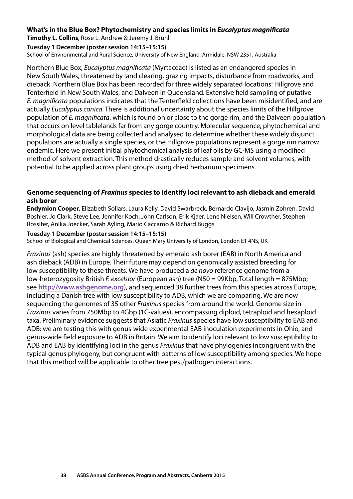#### <span id="page-39-0"></span>**What's in the Blue Box? Phytochemistry and species limits in** *Eucalyptus magnificata*

**Timothy L. Collins**, Rose L. Andrew & Jeremy J. Bruhl

#### **Tuesday 1 December (poster session 14:15–15:15)**

School of Environmental and Rural Science, University of New England, Armidale, NSW 2351, Australia

Northern Blue Box, *Eucalyptus magnificata* (Myrtaceae) is listed as an endangered species in New South Wales, threatened by land clearing, grazing impacts, disturbance from roadworks, and dieback. Northern Blue Box has been recorded for three widely separated locations: Hillgrove and Tenterfield in New South Wales, and Dalveen in Queensland. Extensive field sampling of putative *E. magnificata* populations indicates that the Tenterfield collections have been misidentified, and are actually *Eucalyptus conica*. There is additional uncertainty about the species limits of the Hillgrove population of *E. magnificata*, which is found on or close to the gorge rim, and the Dalveen population that occurs on level tablelands far from any gorge country. Molecular sequence, phytochemical and morphological data are being collected and analysed to determine whether these widely disjunct populations are actually a single species, or the Hillgrove populations represent a gorge rim narrow endemic. Here we present initial phytochemical analysis of leaf oils by GC-MS using a modified method of solvent extraction. This method drastically reduces sample and solvent volumes, with potential to be applied across plant groups using dried herbarium specimens.

#### **Genome sequencing of** *Fraxinus* **species to identify loci relevant to ash dieback and emerald ash borer**

**Endymion Cooper**, Elizabeth Sollars, Laura Kelly, David Swarbreck, Bernardo Clavijo, Jasmin Zohren, David Boshier, Jo Clark, Steve Lee, Jennifer Koch, John Carlson, Erik Kjaer, Lene Nielsen, Will Crowther, Stephen Rossiter, Anika Joecker, Sarah Ayling, Mario Caccamo & Richard Buggs

#### **Tuesday 1 December (poster session 14:15–15:15)**

School of Biological and Chemical Sciences, Queen Mary University of London, London E1 4NS, UK

*Fraxinus* (ash) species are highly threatened by emerald ash borer (EAB) in North America and ash dieback (ADB) in Europe. Their future may depend on genomically assisted breeding for low susceptibility to these threats. We have produced a *de novo* reference genome from a low-heterozygosity British *F. excelsior* (European ash) tree (N50 = 99Kbp, Total length = 875Mbp; see **<http://www.ashgenome.org>**), and sequenced 38 further trees from this species across Europe, including a Danish tree with low susceptibility to ADB, which we are comparing. We are now sequencing the genomes of 35 other *Fraxinus* species from around the world. Genome size in *Fraxinus* varies from 750Mbp to 4Gbp (1C-values), encompassing diploid, tetraploid and hexaploid taxa. Preliminary evidence suggests that Asiatic *Fraxinus* species have low susceptibility to EAB and ADB: we are testing this with genus-wide experimental EAB inoculation experiments in Ohio, and genus-wide field exposure to ADB in Britain. We aim to identify loci relevant to low susceptibility to ADB and EAB by identifying loci in the genus *Fraxinus* that have phylogenies incongruent with the typical genus phylogeny, but congruent with patterns of low susceptibility among species. We hope that this method will be applicable to other tree pest/pathogen interactions.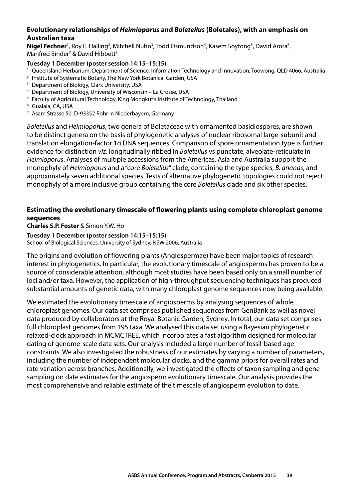#### <span id="page-40-0"></span>**Evolutionary relationships of** *Heimioporus* **and** *Boletellus* **(Boletales), with an emphasis on Australian taxa**

Nigel Fechner<sup>1</sup>, Roy E. Halling<sup>2</sup>, Mitchell Nuhn<sup>3</sup>, Todd Osmundson<sup>4</sup>, Kasem Soytong<sup>5</sup>, David Arora<sup>6</sup>, Manfred Binder<sup>7</sup> & David Hibbett<sup>3</sup>

#### **Tuesday 1 December (poster session 14:15–15:15)**

- <sup>1</sup> Queensland Herbarium, Department of Science, Information Technology and Innovation, Toowong, QLD 4066, Australia
- <sup>2</sup> Institute of Systematic Botany, The New York Botanical Garden, USA
- <sup>3</sup> Department of Biology, Clark University, USA
- 4 Department of Biology, University of Wisconsin La Crosse, USA
- <sup>5</sup> Faculty of Agricultural Technology, King Mongkut's Institute of Technology, Thailand
- <sup>6</sup> Gualala, CA, USA
- 7 Asam Strasse 50, D-93352 Rohr in Niederbayern, Germany

*Boletellus* and *Heimioporus*, two genera of Boletaceae with ornamented basidiospores, are shown to be distinct genera on the basis of phylogenetic analyses of nuclear ribosomal large-subunit and translation elongation-factor 1α DNA sequences. Comparison of spore ornamentation type is further evidence for distinction *viz*. longitudinally ribbed in *Boletellus* vs punctate, alveolate-reticulate in *Heimioporus*. Analyses of multiple accessions from the Americas, Asia and Australia support the monophyly of *Heimioporus* and a "core *Boletellus*" clade, containing the type species, *B. ananas*, and approximately seven additional species. Tests of alternative phylogenetic topologies could not reject monophyly of a more inclusive group containing the core *Boletellus* clade and six other species.

#### **Estimating the evolutionary timescale of flowering plants using complete chloroplast genome sequences**

**Charles S.P. Foster** & Simon Y.W. Ho

**Tuesday 1 December (poster session 14:15–15:15)**  School of Biological Sciences, University of Sydney, NSW 2006, Australia

The origins and evolution of flowering plants (Angiospermae) have been major topics of research interest in phylogenetics. In particular, the evolutionary timescale of angiosperms has proven to be a source of considerable attention, although most studies have been based only on a small number of loci and/or taxa. However, the application of high-throughput sequencing techniques has produced substantial amounts of genetic data, with many chloroplast genome sequences now being available.

We estimated the evolutionary timescale of angiosperms by analysing sequences of whole chloroplast genomes. Our data set comprises published sequences from GenBank as well as novel data produced by collaborators at the Royal Botanic Garden, Sydney. In total, our data set comprises full chloroplast genomes from 195 taxa. We analysed this data set using a Bayesian phylogenetic relaxed-clock approach in MCMCTREE, which incorporates a fast algorithm designed for molecular dating of genome-scale data sets. Our analysis included a large number of fossil-based age constraints. We also investigated the robustness of our estimates by varying a number of parameters, including the number of independent molecular clocks, and the gamma priors for overall rates and rate variation across branches. Additionally, we investigated the effects of taxon sampling and gene sampling on date estimates for the angiosperm evolutionary timescale. Our analysis provides the most comprehensive and reliable estimate of the timescale of angiosperm evolution to date.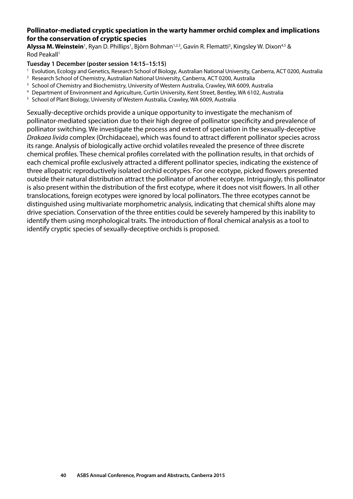#### <span id="page-41-0"></span>**Pollinator-mediated cryptic speciation in the warty hammer orchid complex and implications for the conservation of cryptic species**

**Alyssa M. Weinstein**<sup>1</sup>, Ryan D. Phillips<sup>1</sup>, Björn Bohman<sup>1,2,3</sup>, Gavin R. Flematti<sup>3</sup>, Kingsley W. Dixon<sup>4,5</sup> & Rod Peakall<sup>1</sup>

#### **Tuesday 1 December (poster session 14:15–15:15)**

- 1 Evolution, Ecology and Genetics, Research School of Biology, Australian National University, Canberra, ACT 0200, Australia
- <sup>2</sup> Research School of Chemistry, Australian National University, Canberra, ACT 0200, Australia
- <sup>3</sup> School of Chemistry and Biochemistry, University of Western Australia, Crawley, WA 6009, Australia
- 4 Department of Environment and Agriculture, Curtin University, Kent Street, Bentley, WA 6102, Australia
- <sup>5</sup> School of Plant Biology, University of Western Australia, Crawley, WA 6009, Australia

Sexually-deceptive orchids provide a unique opportunity to investigate the mechanism of pollinator-mediated speciation due to their high degree of pollinator specificity and prevalence of pollinator switching. We investigate the process and extent of speciation in the sexually-deceptive *Drakaea livida* complex (Orchidaceae), which was found to attract different pollinator species across its range. Analysis of biologically active orchid volatiles revealed the presence of three discrete chemical profiles. These chemical profiles correlated with the pollination results, in that orchids of each chemical profile exclusively attracted a different pollinator species, indicating the existence of three allopatric reproductively isolated orchid ecotypes. For one ecotype, picked flowers presented outside their natural distribution attract the pollinator of another ecotype. Intriguingly, this pollinator is also present within the distribution of the first ecotype, where it does not visit flowers. In all other translocations, foreign ecotypes were ignored by local pollinators. The three ecotypes cannot be distinguished using multivariate morphometric analysis, indicating that chemical shifts alone may drive speciation. Conservation of the three entities could be severely hampered by this inability to identify them using morphological traits. The introduction of floral chemical analysis as a tool to identify cryptic species of sexually-deceptive orchids is proposed.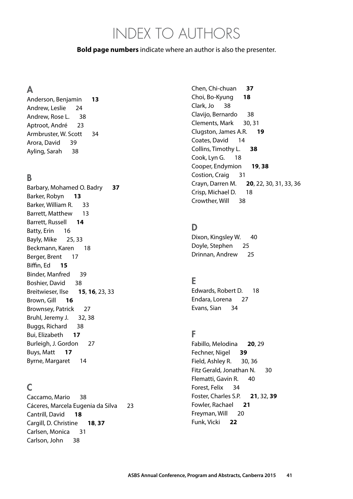## INDEX TO AUTHORS

#### <span id="page-42-0"></span>**Bold page numbers** indicate where an author is also the presenter.

#### A

 Anderson, Benjamin **[13](#page-14-0)**  Andrew, Leslie [24](#page-25-0) Andrew, Rose L. [38](#page-39-0) Aptroot, André [23](#page-24-0)  Armbruster, W. Scott [34](#page-35-0) Arora, David [39](#page-40-0) Ayling, Sarah [38](#page-39-0)

#### B

 Barbary, Mohamed O. Badry Barker, Robyn Barker, William R. [33](#page-34-0) Barrett, Matthew [13](#page-14-0) Barrett, Russell **[14](#page-15-0)**  Batty, Erin Bayly, Mike [25,](#page-26-0) Beckmann, Karen Berger, Brent [17](#page-18-0) Biffin, Ed Binder, Manfred Boshier, David Breitwieser, Ilse **[15](#page-16-0)**, **[16](#page-17-0)**, [23,](#page-24-0) Brown, Gill **[16](#page-17-0)**  Brownsey, Patrick Bruhl, Jeremy J. [32](#page-33-0), [38](#page-39-0) Buggs, Richard Bui, Elizabeth **[17](#page-18-0)**  Burleigh, J. Gordon Buys, Matt **[17](#page-18-0)** Byrne, Margaret

#### C

 Caccamo, Mario Cáceres, Marcela Eugenia da Silva Cantrill, David Cargill, D. Christine **[18](#page-19-0)**, Carlsen, Monica [31](#page-32-0) Carlson, John [38](#page-39-0)

 Chen, Chi-chuan **[37](#page-38-0)**  Choi, Bo-Kyung **[18](#page-19-0)**  Clark, Jo [38](#page-39-0)  Clavijo, Bernardo [38](#page-39-0) Clements, Mark [30,](#page-31-0) [31](#page-32-0)  Clugston, James A.R. **[19](#page-20-0)** Coates, David [14](#page-15-0) Collins, Timothy L. **[38](#page-39-0)** Cook, Lyn G. [18](#page-19-0) Cooper, Endymion **[19](#page-20-0)**, **[38](#page-39-0)** Costion, Craig [31](#page-32-0) Crayn, Darren M. Crisp, Michael D. [18](#page-19-0) Crowther, Will [38](#page-39-0) 38 Crayn, Darren M. **[20](#page-21-0)**, [22,](#page-23-0) [30](#page-31-0), [31](#page-32-0), [33](#page-34-0), [36](#page-37-0)

### D

Dixon, Kingsley W. [40](#page-41-0)  Doyle, Stephen [25](#page-26-0) Drinnan, Andrew [25](#page-26-0) 

#### E

 Edwards, Robert D. [18](#page-19-0) Endara, Lorena [27](#page-28-0) Evans, Sian [34](#page-35-0)

#### F

 Fabillo, Melodina **[20](#page-21-0)**, [29](#page-30-0)  Fechner, Nigel **[39](#page-40-0)** Field, Ashley R. [30](#page-31-0), [36](#page-37-0) Fitz Gerald, Jonathan N. [30](#page-31-0) Flematti, Gavin R. [40](#page-41-0) Forest, Felix [34](#page-35-0) Foster, Charles S.P. **[21](#page-22-0)**, [32](#page-33-0), **[39](#page-40-0)**  Fowler, Rachael **[21](#page-22-0)** Freyman, Will [20](#page-21-0) Funk, Vicki **[22](#page-23-0)**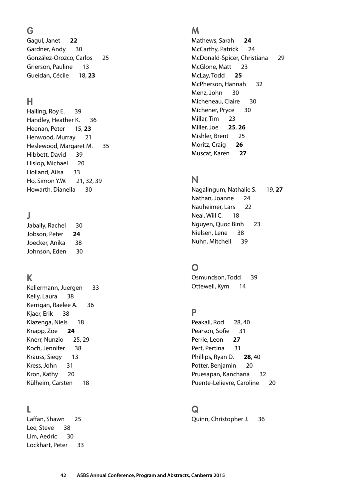### G

 Gagul, Janet **[22](#page-23-0)** Gardner, Andy [30](#page-31-0)  González-Orozco, Carlos [25](#page-26-0)  Grierson, Pauline [13](#page-14-0) Gueidan, Cécile [18,](#page-19-0) **[23](#page-24-0)** 

### H

Halling, Roy E. [39](#page-40-0) Handley, Heather K. [36](#page-37-0)  Heenan, Peter [15](#page-16-0), **[23](#page-24-0)**  Henwood, Murray [21](#page-22-0) Heslewood, Margaret M. [35](#page-36-0) Hibbett, David [39](#page-40-0) Hislop, Michael [20](#page-21-0)  Holland, Ailsa [33](#page-34-0) Ho, Simon Y.W. [21,](#page-22-0) [32,](#page-33-0) [39](#page-40-0) Howarth, Dianella [30](#page-31-0)

### J

 Jabaily, Rachel [30](#page-31-0) Jobson, Peter **[24](#page-25-0)**  Joecker, Anika [38](#page-39-0) Johnson, Eden [30](#page-31-0) 

### K

 Kellermann, Juergen [33](#page-34-0) Kelly, Laura [38](#page-39-0)  Kerrigan, Raelee A. [36](#page-37-0) Kjaer, Erik [38](#page-39-0)  Klazenga, Niels [18](#page-19-0)  Knapp, Zoe **[24](#page-25-0)**  Knerr, Nunzio [25,](#page-26-0) [29](#page-30-0)  Koch, Jennifer [38](#page-39-0) Krauss, Siegy [13](#page-14-0) Kress, John [31](#page-32-0)  Kron, Kathy [20](#page-21-0) Külheim, Carsten [18](#page-19-0)

#### L

 Laffan, Shawn [25](#page-26-0) Lee, Steve [38](#page-39-0)  Lim, Aedric [30](#page-31-0) Lockhart, Peter [33](#page-34-0) 

#### M

 Mathews, Sarah **[24](#page-25-0)**  McCarthy, Patrick [24](#page-25-0)  McDonald-Spicer, Christiana [29](#page-30-0) McGlone, Matt [23](#page-24-0) McLay, Todd **[25](#page-26-0)**  McPherson, Hannah [32](#page-33-0)  Menz, John [30](#page-31-0) Micheneau, Claire [30](#page-31-0) Michener, Pryce [30](#page-31-0) Millar, Tim [23](#page-24-0) Miller, Joe **[25](#page-26-0)**, **[26](#page-27-0)** Mishler, Brent [25](#page-26-0) Moritz, Craig **[26](#page-27-0)** Muscat, Karen **[27](#page-28-0)** 

#### N

 Nagalingum, Nathalie S. [19](#page-20-0), **[27](#page-28-0)**  Nathan, Joanne [24](#page-25-0) Nauheimer, Lars [22](#page-23-0) Neal, Will C. [18](#page-19-0)  Nguyen, Quoc Binh [23](#page-24-0) Nielsen, Lene [38](#page-39-0) Nuhn, Mitchell [39](#page-40-0) 

### O

 Osmundson, Todd [39](#page-40-0) Ottewell, Kym [14](#page-15-0) 

### P

Peakall, Rod [28,](#page-29-0) [40](#page-41-0) Pearson, Sofie [31](#page-32-0)  Perrie, Leon **[27](#page-28-0)**  Pert, Pertina [31](#page-32-0)  Phillips, Ryan D. **[28](#page-29-0)**, [40](#page-41-0) Potter, Benjamin [20](#page-21-0) Pruesapan, Kanchana [32](#page-33-0) Puente-Lelievre, Caroline [20](#page-21-0) 

#### Q

Quinn, Christopher J. [36](#page-37-0)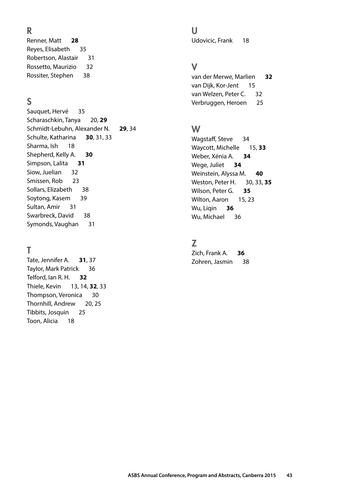Renner, Matt Reyes, Elisabeth [35](#page-36-0)  Robertson, Alastair [31](#page-32-0)  Rossetto, Maurizio [32](#page-33-0) 32 V Rossiter, Stephen Renner, Matt **[28](#page-29-0)** Udovicic, Frank [18](#page-19-0)

 Sauquet, Hervé [35](#page-36-0) Scharaschkin, Tanya [20,](#page-21-0) **[29](#page-30-0)**  Schmidt-Lebuhn, Alexander N. **[29](#page-30-0)**, [34](#page-35-0) W Schulte, Katharina **[30](#page-31-0)**, [31,](#page-32-0) [33](#page-34-0) Wagstaff, Steve [34](#page-35-0) Sharma, Ish Shepherd, Kelly A. **[30](#page-31-0)** Weber, Xénia A. **[34](#page-35-0)**  Simpson, Lalita **[31](#page-32-0)** Wege, Juliet **[34](#page-35-0)**  Siow, Juelian Smissen, Rob Sollars, Elizabeth [38](#page-39-0) Wilson, Peter G. **[35](#page-36-0)**  Soytong, Kasem [39](#page-40-0) Milton, Aaron [15](#page-16-0), [23](#page-24-0) Sultan, Amir [31](#page-32-0) and 30 and 30 and 30 and 30 and 30 and 30 and 30 and 30 and 30 and 30 and 30 and 30 and 30 and 30 Swarbreck, David [38](#page-39-0) [36](#page-37-0) Bung and the Mu, Michael 36 Symonds, Vaughan [31](#page-32-0) Sharma, Ish [18](#page-19-0) Waycott, Michelle [15,](#page-16-0) **[33](#page-34-0)**  Siow, Juelian [32](#page-33-0) Weinstein, Alyssa M. **[40](#page-41-0)**  Smissen, Rob [23](#page-24-0) Weston, Peter H. [30,](#page-31-0) [33,](#page-34-0) **[35](#page-36-0)** 

Tate, Jennifer A. Taylor, Mark Patrick [36](#page-37-0)  Telford, Ian R. H. **[32](#page-33-0)**  Thiele, Kevin Thompson, Veronica [30](#page-31-0)  Thornhill, Andrew [20,](#page-21-0) [25](#page-26-0)  Tibbits, Josquin [25](#page-26-0) Toon, Alicia [18](#page-19-0) Tate, Jennifer A. **[31](#page-32-0)**, [37](#page-38-0) **Tate, 1988** Zohren, Jasmin [38](#page-39-0) [13,](#page-14-0) [14,](#page-15-0) **[32](#page-33-0)**, [33](#page-34-0)

R U

 Rossiter, Stephen [38](#page-39-0) van der Merwe, Marlien **[32](#page-33-0)**  van Dijk, Kor-Jent [15](#page-16-0) van Welzen, Peter C. [32](#page-33-0) **S** S **S** Verbruggen, Heroen [25](#page-26-0)

Wagstaff, Steve Weber, Xénia A. Wege, Juliet Wilson, Peter G. Wilton, Aaron Wu, Liqin Wu, Michael

#### Z

T Zich, Frank A. **[36](#page-37-0)**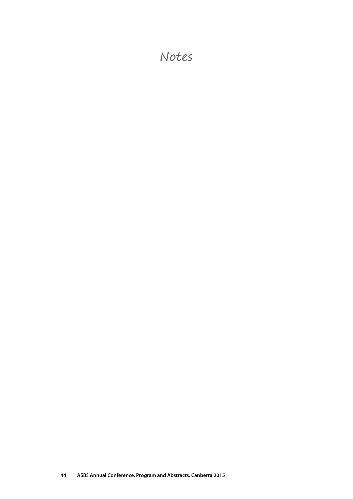### Notes